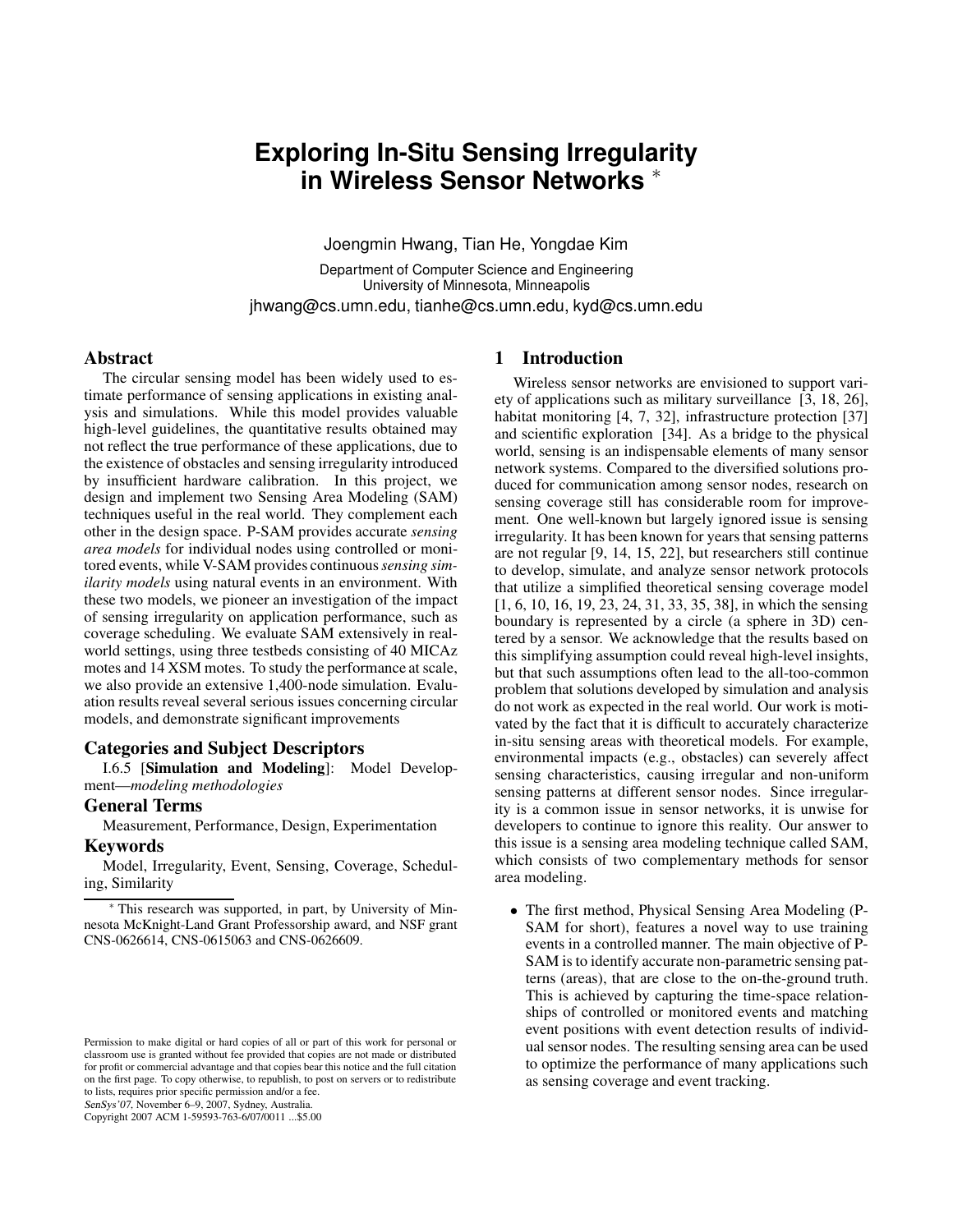# **Exploring In-Situ Sensing Irregularity in Wireless Sensor Networks** <sup>∗</sup>

Joengmin Hwang, Tian He, Yongdae Kim

Department of Computer Science and Engineering University of Minnesota, Minneapolis jhwang@cs.umn.edu, tianhe@cs.umn.edu, kyd@cs.umn.edu

# **Abstract**

The circular sensing model has been widely used to estimate performance of sensing applications in existing analysis and simulations. While this model provides valuable high-level guidelines, the quantitative results obtained may not reflect the true performance of these applications, due to the existence of obstacles and sensing irregularity introduced by insufficient hardware calibration. In this project, we design and implement two Sensing Area Modeling (SAM) techniques useful in the real world. They complement each other in the design space. P-SAM provides accurate *sensing area models* for individual nodes using controlled or monitored events, while V-SAM provides continuous*sensing similarity models* using natural events in an environment. With these two models, we pioneer an investigation of the impact of sensing irregularity on application performance, such as coverage scheduling. We evaluate SAM extensively in realworld settings, using three testbeds consisting of 40 MICAz motes and 14 XSM motes. To study the performance at scale, we also provide an extensive 1,400-node simulation. Evaluation results reveal several serious issues concerning circular models, and demonstrate significant improvements

# **Categories and Subject Descriptors**

I.6.5 [**Simulation and Modeling**]: Model Development—*modeling methodologies*

# **General Terms**

Measurement, Performance, Design, Experimentation

#### **Keywords**

Model, Irregularity, Event, Sensing, Coverage, Scheduling, Similarity

SenSys'07, November 6–9, 2007, Sydney, Australia.

Copyright 2007 ACM 1-59593-763-6/07/0011 ...\$5.00

# **1 Introduction**

Wireless sensor networks are envisioned to support variety of applications such as military surveillance [3, 18, 26], habitat monitoring [4, 7, 32], infrastructure protection [37] and scientific exploration [34]. As a bridge to the physical world, sensing is an indispensable elements of many sensor network systems. Compared to the diversified solutions produced for communication among sensor nodes, research on sensing coverage still has considerable room for improvement. One well-known but largely ignored issue is sensing irregularity. It has been known for years that sensing patterns are not regular [9, 14, 15, 22], but researchers still continue to develop, simulate, and analyze sensor network protocols that utilize a simplified theoretical sensing coverage model [1, 6, 10, 16, 19, 23, 24, 31, 33, 35, 38], in which the sensing boundary is represented by a circle (a sphere in 3D) centered by a sensor. We acknowledge that the results based on this simplifying assumption could reveal high-level insights, but that such assumptions often lead to the all-too-common problem that solutions developed by simulation and analysis do not work as expected in the real world. Our work is motivated by the fact that it is difficult to accurately characterize in-situ sensing areas with theoretical models. For example, environmental impacts (e.g., obstacles) can severely affect sensing characteristics, causing irregular and non-uniform sensing patterns at different sensor nodes. Since irregularity is a common issue in sensor networks, it is unwise for developers to continue to ignore this reality. Our answer to this issue is a sensing area modeling technique called SAM, which consists of two complementary methods for sensor area modeling.

• The first method, Physical Sensing Area Modeling (P-SAM for short), features a novel way to use training events in a controlled manner. The main objective of P-SAM is to identify accurate non-parametric sensing patterns (areas), that are close to the on-the-ground truth. This is achieved by capturing the time-space relationships of controlled or monitored events and matching event positions with event detection results of individual sensor nodes. The resulting sensing area can be used to optimize the performance of many applications such as sensing coverage and event tracking.

<sup>∗</sup> This research was supported, in part, by University of Minnesota McKnight-Land Grant Professorship award, and NSF grant CNS-0626614, CNS-0615063 and CNS-0626609.

Permission to make digital or hard copies of all or part of this work for personal or classroom use is granted without fee provided that copies are not made or distributed for profit or commercial advantage and that copies bear this notice and the full citation on the first page. To copy otherwise, to republish, to post on servers or to redistribute to lists, requires prior specific permission and/or a fee.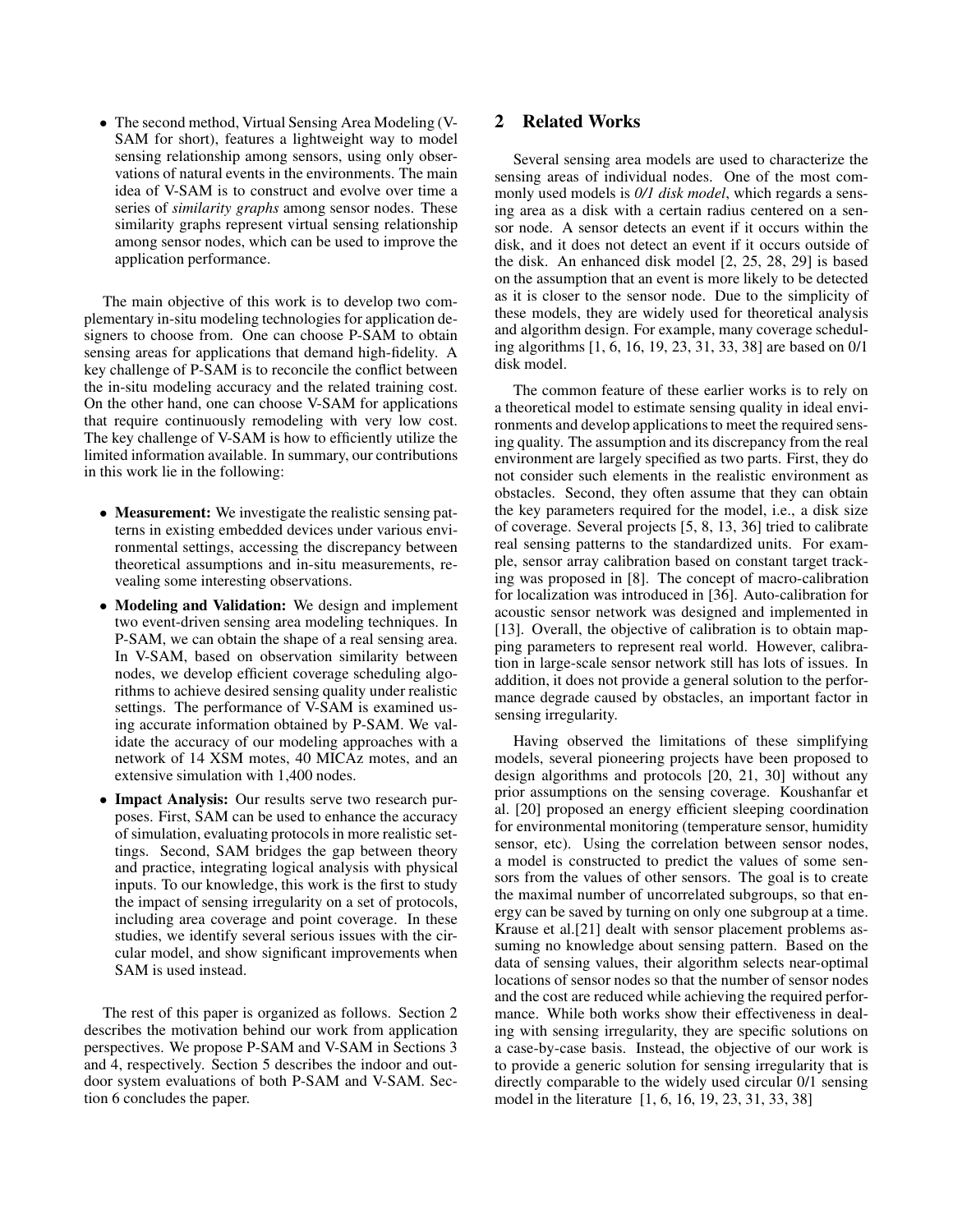• The second method, Virtual Sensing Area Modeling (V-SAM for short), features a lightweight way to model sensing relationship among sensors, using only observations of natural events in the environments. The main idea of V-SAM is to construct and evolve over time a series of *similarity graphs* among sensor nodes. These similarity graphs represent virtual sensing relationship among sensor nodes, which can be used to improve the application performance.

The main objective of this work is to develop two complementary in-situ modeling technologies for application designers to choose from. One can choose P-SAM to obtain sensing areas for applications that demand high-fidelity. A key challenge of P-SAM is to reconcile the conflict between the in-situ modeling accuracy and the related training cost. On the other hand, one can choose V-SAM for applications that require continuously remodeling with very low cost. The key challenge of V-SAM is how to efficiently utilize the limited information available. In summary, our contributions in this work lie in the following:

- **Measurement:** We investigate the realistic sensing patterns in existing embedded devices under various environmental settings, accessing the discrepancy between theoretical assumptions and in-situ measurements, revealing some interesting observations.
- **Modeling and Validation:** We design and implement two event-driven sensing area modeling techniques. In P-SAM, we can obtain the shape of a real sensing area. In V-SAM, based on observation similarity between nodes, we develop efficient coverage scheduling algorithms to achieve desired sensing quality under realistic settings. The performance of V-SAM is examined using accurate information obtained by P-SAM. We validate the accuracy of our modeling approaches with a network of 14 XSM motes, 40 MICAz motes, and an extensive simulation with 1,400 nodes.
- **Impact Analysis:** Our results serve two research purposes. First, SAM can be used to enhance the accuracy of simulation, evaluating protocols in more realistic settings. Second, SAM bridges the gap between theory and practice, integrating logical analysis with physical inputs. To our knowledge, this work is the first to study the impact of sensing irregularity on a set of protocols, including area coverage and point coverage. In these studies, we identify several serious issues with the circular model, and show significant improvements when SAM is used instead.

The rest of this paper is organized as follows. Section 2 describes the motivation behind our work from application perspectives. We propose P-SAM and V-SAM in Sections 3 and 4, respectively. Section 5 describes the indoor and outdoor system evaluations of both P-SAM and V-SAM. Section 6 concludes the paper.

# **2 Related Works**

Several sensing area models are used to characterize the sensing areas of individual nodes. One of the most commonly used models is *0/1 disk model*, which regards a sensing area as a disk with a certain radius centered on a sensor node. A sensor detects an event if it occurs within the disk, and it does not detect an event if it occurs outside of the disk. An enhanced disk model [2, 25, 28, 29] is based on the assumption that an event is more likely to be detected as it is closer to the sensor node. Due to the simplicity of these models, they are widely used for theoretical analysis and algorithm design. For example, many coverage scheduling algorithms [1, 6, 16, 19, 23, 31, 33, 38] are based on 0/1 disk model.

The common feature of these earlier works is to rely on a theoretical model to estimate sensing quality in ideal environments and develop applications to meet the required sensing quality. The assumption and its discrepancy from the real environment are largely specified as two parts. First, they do not consider such elements in the realistic environment as obstacles. Second, they often assume that they can obtain the key parameters required for the model, i.e., a disk size of coverage. Several projects [5, 8, 13, 36] tried to calibrate real sensing patterns to the standardized units. For example, sensor array calibration based on constant target tracking was proposed in [8]. The concept of macro-calibration for localization was introduced in [36]. Auto-calibration for acoustic sensor network was designed and implemented in [13]. Overall, the objective of calibration is to obtain mapping parameters to represent real world. However, calibration in large-scale sensor network still has lots of issues. In addition, it does not provide a general solution to the performance degrade caused by obstacles, an important factor in sensing irregularity.

Having observed the limitations of these simplifying models, several pioneering projects have been proposed to design algorithms and protocols [20, 21, 30] without any prior assumptions on the sensing coverage. Koushanfar et al. [20] proposed an energy efficient sleeping coordination for environmental monitoring (temperature sensor, humidity sensor, etc). Using the correlation between sensor nodes, a model is constructed to predict the values of some sensors from the values of other sensors. The goal is to create the maximal number of uncorrelated subgroups, so that energy can be saved by turning on only one subgroup at a time. Krause et al.[21] dealt with sensor placement problems assuming no knowledge about sensing pattern. Based on the data of sensing values, their algorithm selects near-optimal locations of sensor nodes so that the number of sensor nodes and the cost are reduced while achieving the required performance. While both works show their effectiveness in dealing with sensing irregularity, they are specific solutions on a case-by-case basis. Instead, the objective of our work is to provide a generic solution for sensing irregularity that is directly comparable to the widely used circular 0/1 sensing model in the literature [1, 6, 16, 19, 23, 31, 33, 38]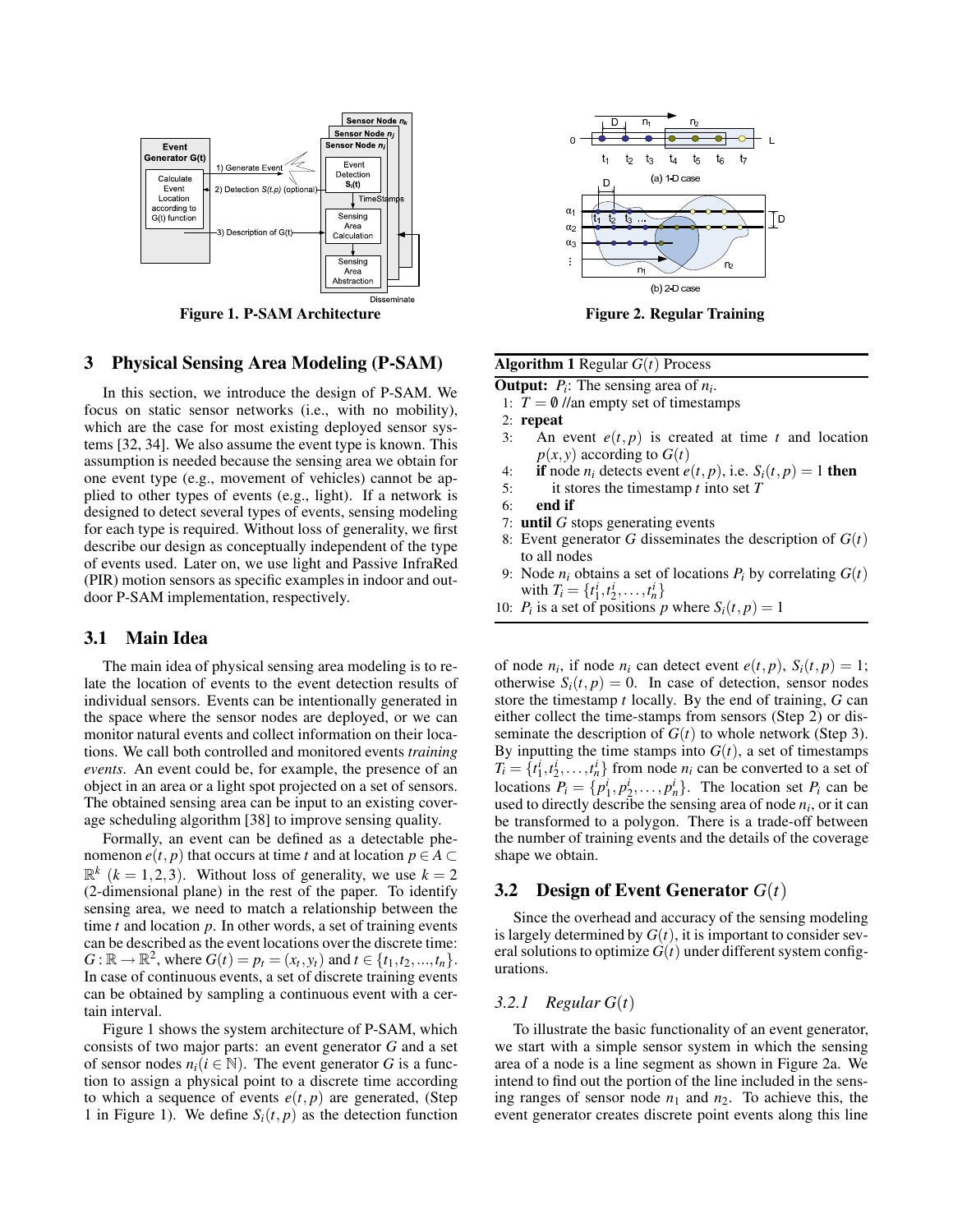

**Figure 1. P-SAM Architecture Figure 2. Regular Training**

# **3 Physical Sensing Area Modeling (P-SAM)**

In this section, we introduce the design of P-SAM. We focus on static sensor networks (i.e., with no mobility), which are the case for most existing deployed sensor systems [32, 34]. We also assume the event type is known. This assumption is needed because the sensing area we obtain for one event type (e.g., movement of vehicles) cannot be applied to other types of events (e.g., light). If a network is designed to detect several types of events, sensing modeling for each type is required. Without loss of generality, we first describe our design as conceptually independent of the type of events used. Later on, we use light and Passive InfraRed (PIR) motion sensors as specific examples in indoor and outdoor P-SAM implementation, respectively.

# **3.1 Main Idea**

The main idea of physical sensing area modeling is to relate the location of events to the event detection results of individual sensors. Events can be intentionally generated in the space where the sensor nodes are deployed, or we can monitor natural events and collect information on their locations. We call both controlled and monitored events *training events*. An event could be, for example, the presence of an object in an area or a light spot projected on a set of sensors. The obtained sensing area can be input to an existing coverage scheduling algorithm [38] to improve sensing quality.

Formally, an event can be defined as a detectable phenomenon *e*(*t*, *p*) that occurs at time *t* and at location  $p \in A \subset \mathbb{R}$  $\mathbb{R}^k$  ( $k = 1, 2, 3$ ). Without loss of generality, we use  $k = 2$ (2-dimensional plane) in the rest of the paper. To identify sensing area, we need to match a relationship between the time *t* and location *p*. In other words, a set of training events can be described as the event locations over the discrete time:  $G: \mathbb{R} \to \mathbb{R}^2$ , where  $G(t) = p_t = (x_t, y_t)$  and  $t \in \{t_1, t_2, ..., t_n\}$ . In case of continuous events, a set of discrete training events can be obtained by sampling a continuous event with a certain interval.

Figure 1 shows the system architecture of P-SAM, which consists of two major parts: an event generator *G* and a set of sensor nodes  $n_i$  ( $i \in \mathbb{N}$ ). The event generator G is a function to assign a physical point to a discrete time according to which a sequence of events  $e(t, p)$  are generated, (Step 1 in Figure 1). We define  $S_i(t, p)$  as the detection function



| <b>Algorithm 1</b> Regular $G(t)$ Process                               |
|-------------------------------------------------------------------------|
| <b>Output:</b> $P_i$ : The sensing area of $n_i$ .                      |
| 1: $T = \phi$ //an empty set of timestamps                              |
| $2:$ repeat                                                             |
| An event $e(t, p)$ is created at time t and location<br>3:              |
| $p(x, y)$ according to $G(t)$                                           |
| if node $n_i$ detects event $e(t, p)$ , i.e. $S_i(t, p) = 1$ then<br>4: |
| it stores the timestamp $t$ into set $T$<br>5:                          |
| end if<br>6:                                                            |
| 7: until $G$ stops generating events                                    |
|                                                                         |

- 8: Event generator *G* disseminates the description of *G*(*t*) to all nodes
- 9: Node  $n_i$  obtains a set of locations  $P_i$  by correlating  $G(t)$ with  $T_i = \{t_1^i, t_2^i, \dots, t_n^i\}$
- 10: *P<sub>i</sub>* is a set of positions *p* where  $S_i(t, p) = 1$

of node  $n_i$ , if node  $n_i$  can detect event  $e(t, p)$ ,  $S_i(t, p) = 1$ ; otherwise  $S_i(t, p) = 0$ . In case of detection, sensor nodes store the timestamp *t* locally. By the end of training, *G* can either collect the time-stamps from sensors (Step 2) or disseminate the description of  $G(t)$  to whole network (Step 3). By inputting the time stamps into  $G(t)$ , a set of timestamps  $T_i = \{t_1^i, t_2^i, \dots, t_n^i\}$  from node  $n_i$  can be converted to a set of locations  $P_i = \{p_1^i, p_2^i, \dots, p_n^i\}$ . The location set  $P_i$  can be used to directly describe the sensing area of node *n<sup>i</sup>* , or it can be transformed to a polygon. There is a trade-off between the number of training events and the details of the coverage shape we obtain.

# **3.2 Design of Event Generator** *G*(*t*)

Since the overhead and accuracy of the sensing modeling is largely determined by  $G(t)$ , it is important to consider several solutions to optimize  $G(t)$  under different system configurations.

#### *3.2.1 Regular G*(*t*)

To illustrate the basic functionality of an event generator, we start with a simple sensor system in which the sensing area of a node is a line segment as shown in Figure 2a. We intend to find out the portion of the line included in the sensing ranges of sensor node  $n_1$  and  $n_2$ . To achieve this, the event generator creates discrete point events along this line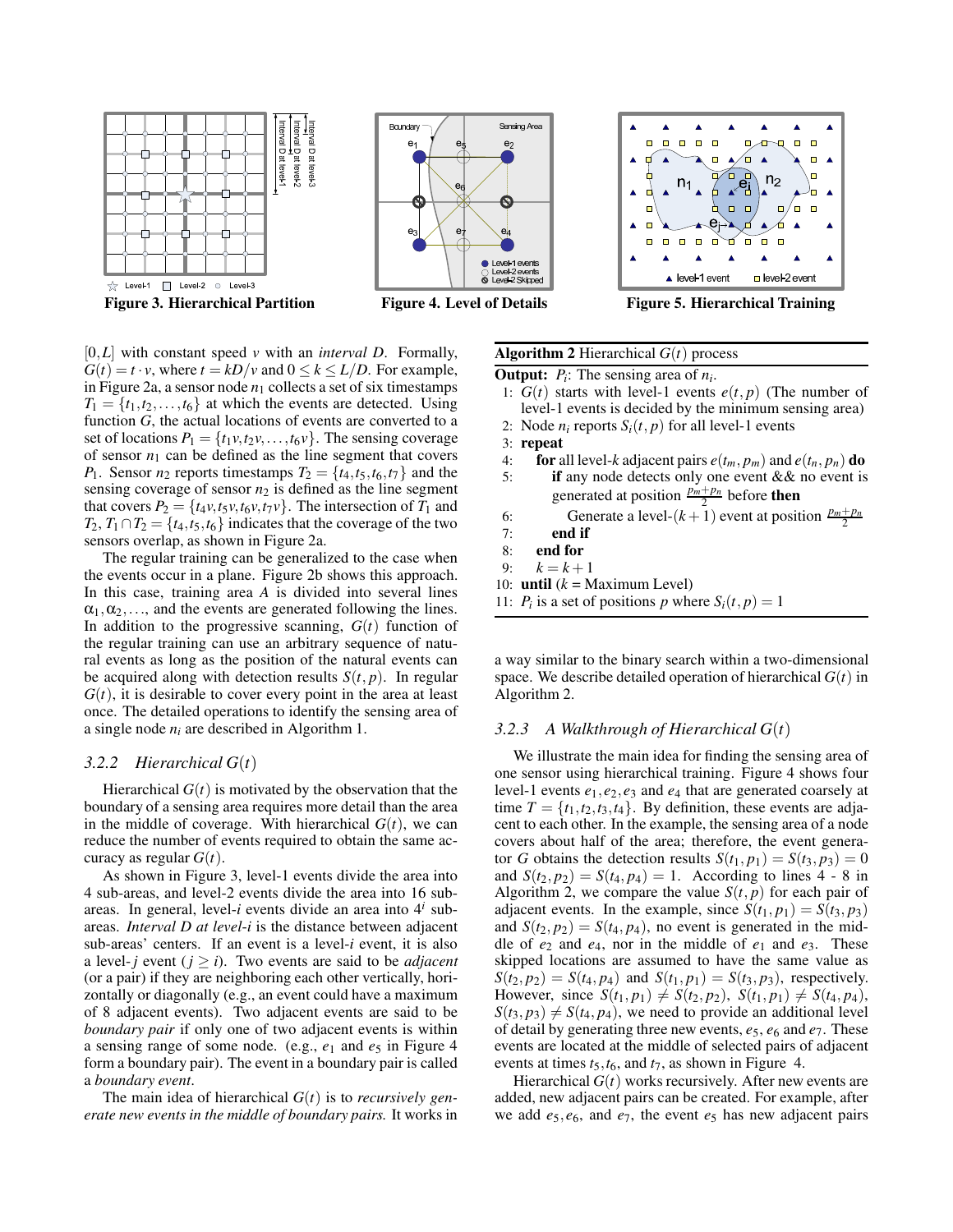

[0,*L*] with constant speed *v* with an *interval D*. Formally,  $G(t) = t \cdot v$ , where  $t = kD/v$  and  $0 \le k \le L/D$ . For example, in Figure 2a, a sensor node  $n_1$  collects a set of six timestamps  $T_1 = \{t_1, t_2, \ldots, t_6\}$  at which the events are detected. Using function *G*, the actual locations of events are converted to a set of locations  $P_1 = \{t_1v, t_2v, \ldots, t_6v\}$ . The sensing coverage of sensor  $n_1$  can be defined as the line segment that covers *P*<sub>1</sub>. Sensor *n*<sub>2</sub> reports timestamps  $T_2 = \{t_4, t_5, t_6, t_7\}$  and the sensing coverage of sensor  $n_2$  is defined as the line segment that covers  $P_2 = \{t_4v, t_5v, t_6v, t_7v\}$ . The intersection of  $T_1$  and  $T_2, T_1 \cap T_2 = \{t_4, t_5, t_6\}$  indicates that the coverage of the two sensors overlap, as shown in Figure 2a.

The regular training can be generalized to the case when the events occur in a plane. Figure 2b shows this approach. In this case, training area *A* is divided into several lines  $\alpha_1, \alpha_2, \ldots$ , and the events are generated following the lines. In addition to the progressive scanning,  $G(t)$  function of the regular training can use an arbitrary sequence of natural events as long as the position of the natural events can be acquired along with detection results  $S(t, p)$ . In regular  $G(t)$ , it is desirable to cover every point in the area at least once. The detailed operations to identify the sensing area of a single node  $n_i$  are described in Algorithm 1.

#### *3.2.2 Hierarchical G*(*t*)

Hierarchical  $G(t)$  is motivated by the observation that the boundary of a sensing area requires more detail than the area in the middle of coverage. With hierarchical  $G(t)$ , we can reduce the number of events required to obtain the same accuracy as regular  $G(t)$ .

As shown in Figure 3, level-1 events divide the area into 4 sub-areas, and level-2 events divide the area into 16 subareas. In general, level-*i* events divide an area into 4*<sup>i</sup>* subareas. *Interval D at level*-*i* is the distance between adjacent sub-areas' centers. If an event is a level-*i* event, it is also a level-*j* event ( $j \ge i$ ). Two events are said to be *adjacent* (or a pair) if they are neighboring each other vertically, horizontally or diagonally (e.g., an event could have a maximum of 8 adjacent events). Two adjacent events are said to be *boundary pair* if only one of two adjacent events is within a sensing range of some node. (e.g.,  $e_1$  and  $e_5$  in Figure 4 form a boundary pair). The event in a boundary pair is called a *boundary event*.

The main idea of hierarchical  $G(t)$  is to *recursively generate new events in the middle of boundary pairs.* It works in

**Algorithm 2** Hierarchical *G*(*t*) process **Output:**  $P_i$ : The sensing area of  $n_i$ .

- 1:  $G(t)$  starts with level-1 events  $e(t, p)$  (The number of level-1 events is decided by the minimum sensing area)
- 2: Node  $n_i$  reports  $S_i(t, p)$  for all level-1 events
- 3: **repeat**
- 4: **for** all level-*k* adjacent pairs  $e(t_m, p_m)$  and  $e(t_n, p_n)$  **do**<br>5: **if** any node detects only one event & & no event is if any node detects only one event && no event is generated at position  $\frac{p_m+p_n}{2}$  before **then**
- 6: Generate a level- $(k+1)$  event at position  $\frac{p_m+p_n}{2}$
- 7: **end if**
- 8: **end for**
- 9:  $k = k + 1$
- 10: **until**  $(k = \text{Maximum Level})$
- 11:  $P_i$  is a set of positions *p* where  $S_i(t, p) = 1$

a way similar to the binary search within a two-dimensional space. We describe detailed operation of hierarchical  $G(t)$  in Algorithm 2.

#### *3.2.3 A Walkthrough of Hierarchical G*(*t*)

We illustrate the main idea for finding the sensing area of one sensor using hierarchical training. Figure 4 shows four level-1 events *e*1,*e*2,*e*<sup>3</sup> and *e*<sup>4</sup> that are generated coarsely at time  $T = \{t_1, t_2, t_3, t_4\}$ . By definition, these events are adjacent to each other. In the example, the sensing area of a node covers about half of the area; therefore, the event generator *G* obtains the detection results  $S(t_1, p_1) = S(t_3, p_3) = 0$ and  $S(t_2, p_2) = S(t_4, p_4) = 1$ . According to lines 4 - 8 in Algorithm 2, we compare the value  $S(t, p)$  for each pair of adjacent events. In the example, since  $S(t_1, p_1) = S(t_3, p_3)$ and  $S(t_2, p_2) = S(t_4, p_4)$ , no event is generated in the middle of *e*<sup>2</sup> and *e*4, nor in the middle of *e*<sup>1</sup> and *e*3. These skipped locations are assumed to have the same value as  $S(t_2, p_2) = S(t_4, p_4)$  and  $S(t_1, p_1) = S(t_3, p_3)$ , respectively. However, since  $S(t_1, p_1) \neq S(t_2, p_2)$ ,  $S(t_1, p_1) \neq S(t_4, p_4)$ ,  $S(t_3, p_3) \neq S(t_4, p_4)$ , we need to provide an additional level of detail by generating three new events, *e*5, *e*<sup>6</sup> and *e*7. These events are located at the middle of selected pairs of adjacent events at times *t*5,*t*6, and *t*7, as shown in Figure 4.

Hierarchical  $G(t)$  works recursively. After new events are added, new adjacent pairs can be created. For example, after we add  $e_5$ ,  $e_6$ , and  $e_7$ , the event  $e_5$  has new adjacent pairs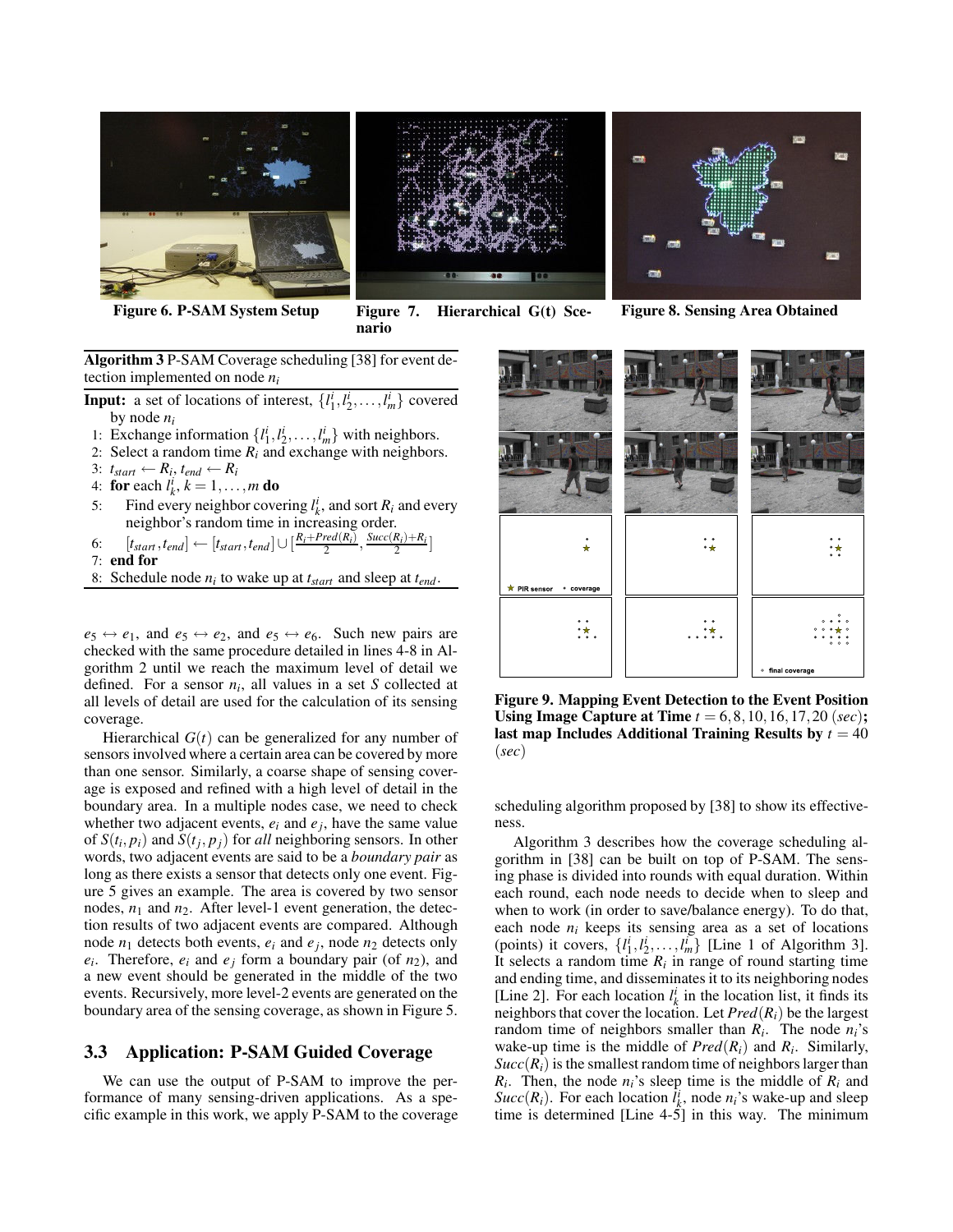

**Figure 6. P-SAM System Setup Figure 7. Hierarchical G(t) Scenario**

**Figure 8. Sensing Area Obtained**

**Algorithm 3** P-SAM Coverage scheduling [38] for event detection implemented on node *n<sup>i</sup>*

- **Input:** a set of locations of interest,  $\{l_1^i, l_2^i, \ldots, l_m^i\}$  covered by node *n<sup>i</sup>*
- 1: Exchange information  $\{l_1^i, l_2^i, \dots, l_m^i\}$  with neighbors.
- 2: Select a random time  $R_i$  and exchange with neighbors.
- 3:  $t_{start} \leftarrow R_i, t_{end} \leftarrow R_i$
- 4: **for** each  $l_k^i$ ,  $k = 1, ..., m$  **do**
- 5: Find every neighbor covering  $l_k^i$ , and sort  $R_i$  and every neighbor's random time in increasing order.
- 6:  $[t_{start}, t_{end}] \leftarrow [t_{start}, t_{end}] \cup [\frac{R_i + Pred(R_i)}{2}, \frac{Succ(R_i) + R_i}{2}]$
- 7: **end for**
- 8: Schedule node *n<sup>i</sup>* to wake up at *tstart* and sleep at *tend*.

 $e_5 \leftrightarrow e_1$ , and  $e_5 \leftrightarrow e_2$ , and  $e_5 \leftrightarrow e_6$ . Such new pairs are checked with the same procedure detailed in lines 4-8 in Algorithm 2 until we reach the maximum level of detail we defined. For a sensor  $n_i$ , all values in a set *S* collected at all levels of detail are used for the calculation of its sensing coverage.

Hierarchical *G*(*t*) can be generalized for any number of sensors involved where a certain area can be covered by more than one sensor. Similarly, a coarse shape of sensing coverage is exposed and refined with a high level of detail in the boundary area. In a multiple nodes case, we need to check whether two adjacent events,  $e_i$  and  $e_j$ , have the same value of  $S(t_i, p_i)$  and  $S(t_j, p_j)$  for *all* neighboring sensors. In other words, two adjacent events are said to be a *boundary pair* as long as there exists a sensor that detects only one event. Figure 5 gives an example. The area is covered by two sensor nodes,  $n_1$  and  $n_2$ . After level-1 event generation, the detection results of two adjacent events are compared. Although node  $n_1$  detects both events,  $e_i$  and  $e_j$ , node  $n_2$  detects only  $e_i$ . Therefore,  $e_i$  and  $e_j$  form a boundary pair (of  $n_2$ ), and a new event should be generated in the middle of the two events. Recursively, more level-2 events are generated on the boundary area of the sensing coverage, as shown in Figure 5.

# **3.3 Application: P-SAM Guided Coverage**

We can use the output of P-SAM to improve the performance of many sensing-driven applications. As a specific example in this work, we apply P-SAM to the coverage



**Figure 9. Mapping Event Detection to the Event Position Using Image Capture at Time** *t* = 6,8,10,16,17,20 (*sec*)**;** last map Includes Additional Training Results by  $t = 40$ (*sec*)

scheduling algorithm proposed by [38] to show its effectiveness.

Algorithm 3 describes how the coverage scheduling algorithm in [38] can be built on top of P-SAM. The sensing phase is divided into rounds with equal duration. Within each round, each node needs to decide when to sleep and when to work (in order to save/balance energy). To do that, each node *n<sup>i</sup>* keeps its sensing area as a set of locations (points) it covers,  $\{l_1^i, l_2^i, \ldots, l_m^i\}$  [Line 1 of Algorithm 3]. It selects a random time  $R_i$  in range of round starting time and ending time, and disseminates it to its neighboring nodes [Line 2]. For each location  $l_k^i$  in the location list, it finds its neighbors that cover the location. Let  $Pred(R_i)$  be the largest random time of neighbors smaller than  $R_i$ . The node  $n_i$ 's wake-up time is the middle of  $Pred(R_i)$  and  $R_i$ . Similarly,  $Succ(R_i)$  is the smallest random time of neighbors larger than  $R_i$ . Then, the node  $n_i$ 's sleep time is the middle of  $R_i$  and *Succ*( $R_i$ ). For each location  $l_k^i$ , node  $n_i$ 's wake-up and sleep time is determined [Line  $4-5$ ] in this way. The minimum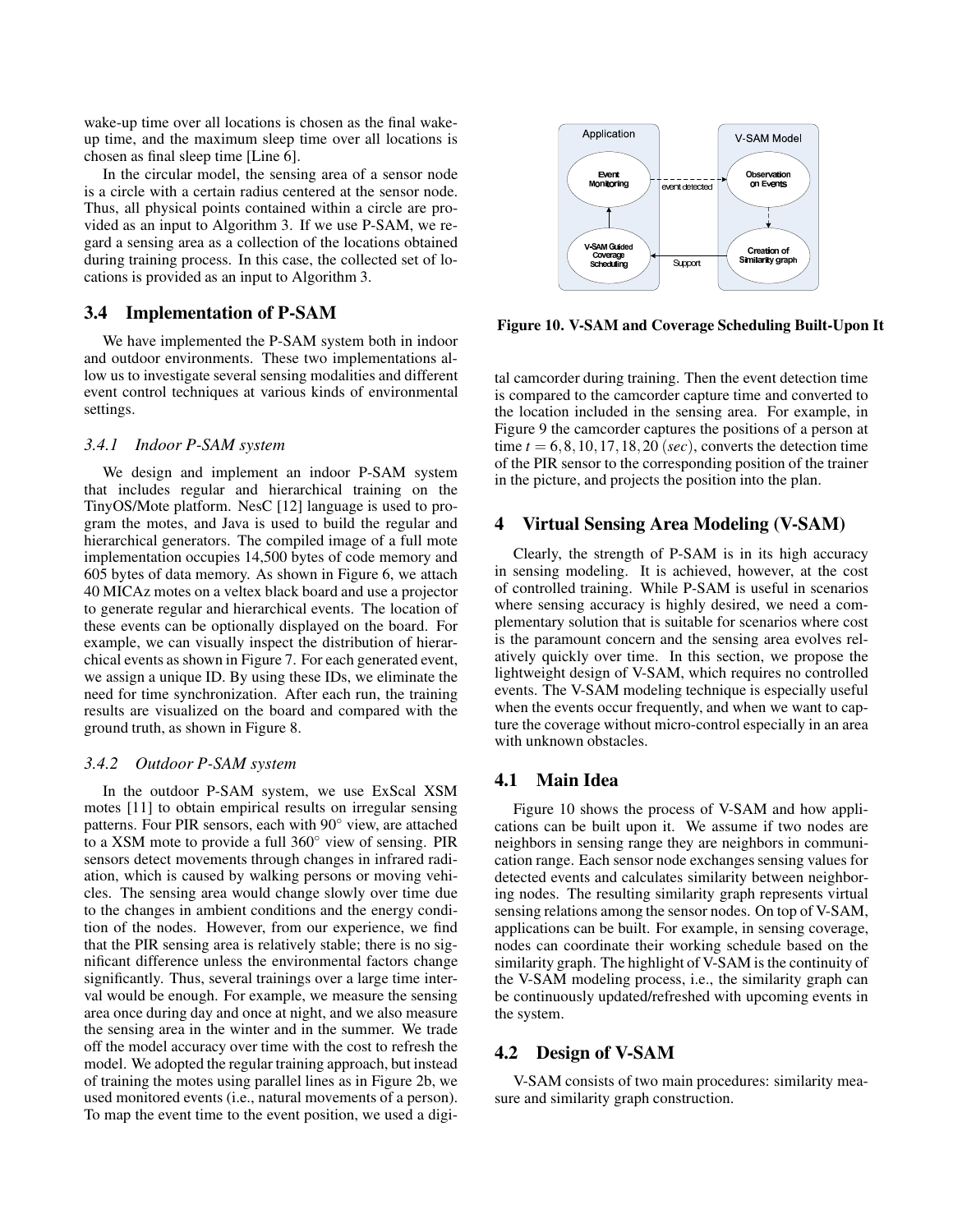wake-up time over all locations is chosen as the final wakeup time, and the maximum sleep time over all locations is chosen as final sleep time [Line 6].

In the circular model, the sensing area of a sensor node is a circle with a certain radius centered at the sensor node. Thus, all physical points contained within a circle are provided as an input to Algorithm 3. If we use P-SAM, we regard a sensing area as a collection of the locations obtained during training process. In this case, the collected set of locations is provided as an input to Algorithm 3.

# **3.4 Implementation of P-SAM**

We have implemented the P-SAM system both in indoor and outdoor environments. These two implementations allow us to investigate several sensing modalities and different event control techniques at various kinds of environmental settings.

# *3.4.1 Indoor P-SAM system*

We design and implement an indoor P-SAM system that includes regular and hierarchical training on the TinyOS/Mote platform. NesC [12] language is used to program the motes, and Java is used to build the regular and hierarchical generators. The compiled image of a full mote implementation occupies 14,500 bytes of code memory and 605 bytes of data memory. As shown in Figure 6, we attach 40 MICAz motes on a veltex black board and use a projector to generate regular and hierarchical events. The location of these events can be optionally displayed on the board. For example, we can visually inspect the distribution of hierarchical events as shown in Figure 7. For each generated event, we assign a unique ID. By using these IDs, we eliminate the need for time synchronization. After each run, the training results are visualized on the board and compared with the ground truth, as shown in Figure 8.

#### *3.4.2 Outdoor P-SAM system*

In the outdoor P-SAM system, we use ExScal XSM motes [11] to obtain empirical results on irregular sensing patterns. Four PIR sensors, each with 90◦ view, are attached to a XSM mote to provide a full 360◦ view of sensing. PIR sensors detect movements through changes in infrared radiation, which is caused by walking persons or moving vehicles. The sensing area would change slowly over time due to the changes in ambient conditions and the energy condition of the nodes. However, from our experience, we find that the PIR sensing area is relatively stable; there is no significant difference unless the environmental factors change significantly. Thus, several trainings over a large time interval would be enough. For example, we measure the sensing area once during day and once at night, and we also measure the sensing area in the winter and in the summer. We trade off the model accuracy over time with the cost to refresh the model. We adopted the regular training approach, but instead of training the motes using parallel lines as in Figure 2b, we used monitored events (i.e., natural movements of a person). To map the event time to the event position, we used a digi-



**Figure 10. V-SAM and Coverage Scheduling Built-Upon It**

tal camcorder during training. Then the event detection time is compared to the camcorder capture time and converted to the location included in the sensing area. For example, in Figure 9 the camcorder captures the positions of a person at time  $t = 6, 8, 10, 17, 18, 20$  (*sec*), converts the detection time of the PIR sensor to the corresponding position of the trainer in the picture, and projects the position into the plan.

# **4 Virtual Sensing Area Modeling (V-SAM)**

Clearly, the strength of P-SAM is in its high accuracy in sensing modeling. It is achieved, however, at the cost of controlled training. While P-SAM is useful in scenarios where sensing accuracy is highly desired, we need a complementary solution that is suitable for scenarios where cost is the paramount concern and the sensing area evolves relatively quickly over time. In this section, we propose the lightweight design of V-SAM, which requires no controlled events. The V-SAM modeling technique is especially useful when the events occur frequently, and when we want to capture the coverage without micro-control especially in an area with unknown obstacles.

# **4.1 Main Idea**

Figure 10 shows the process of V-SAM and how applications can be built upon it. We assume if two nodes are neighbors in sensing range they are neighbors in communication range. Each sensor node exchanges sensing values for detected events and calculates similarity between neighboring nodes. The resulting similarity graph represents virtual sensing relations among the sensor nodes. On top of V-SAM, applications can be built. For example, in sensing coverage, nodes can coordinate their working schedule based on the similarity graph. The highlight of V-SAM is the continuity of the V-SAM modeling process, i.e., the similarity graph can be continuously updated/refreshed with upcoming events in the system.

# **4.2 Design of V-SAM**

V-SAM consists of two main procedures: similarity measure and similarity graph construction.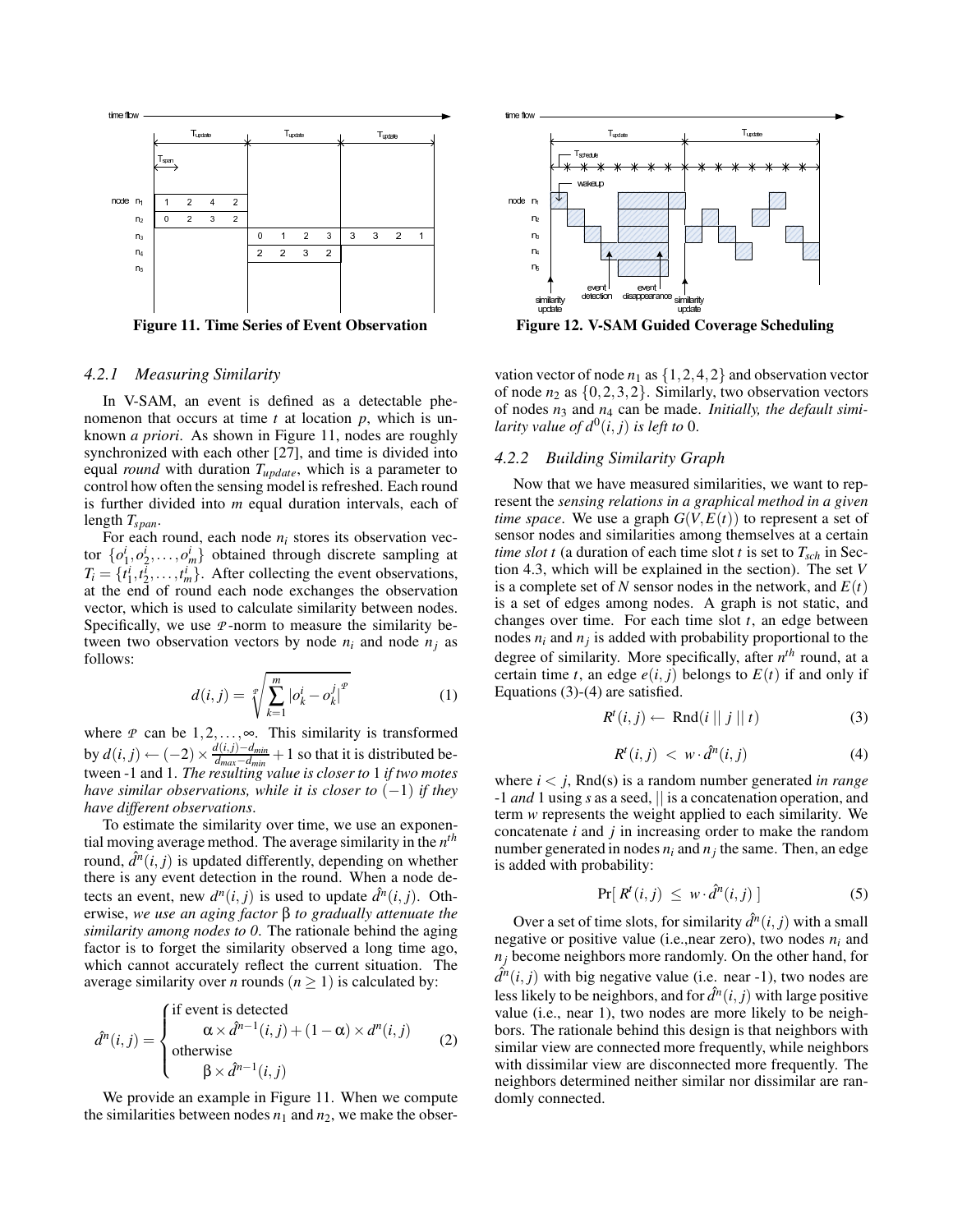

### *4.2.1 Measuring Similarity*

In V-SAM, an event is defined as a detectable phenomenon that occurs at time *t* at location *p*, which is unknown *a priori*. As shown in Figure 11, nodes are roughly synchronized with each other [27], and time is divided into equal *round* with duration *Tupdate*, which is a parameter to control how often the sensing model is refreshed. Each round is further divided into *m* equal duration intervals, each of length *Tspan*.

For each round, each node  $n_i$  stores its observation vector  $\{o_1^i, o_2^i, \ldots, o_m^i\}$  obtained through discrete sampling at  $T_i = \{t_1^i, t_2^i, \dots, t_m^i\}$ . After collecting the event observations, at the end of round each node exchanges the observation vector, which is used to calculate similarity between nodes. Specifically, we use *P* -norm to measure the similarity between two observation vectors by node  $n_i$  and node  $n_j$  as follows:

$$
d(i,j) = \sqrt[p]{\sum_{k=1}^{m} |o_k^i - o_k^j|^p}
$$
 (1)

where *P* can be  $1, 2, \ldots, \infty$ . This similarity is transformed **by**  $d(i, j)$  ←  $(-2) \times \frac{d(i, j) - d_{min}}{d_{min} - d}$  $\frac{d(t,j)-d_{min}}{d_{max}-d_{min}}+1$  so that it is distributed between -1 and 1. *The resulting value is closer to* 1 *if two motes have similar observations, while it is closer to*  $(-1)$  *if they have different observations*.

To estimate the similarity over time, we use an exponential moving average method. The average similarity in the *n th* round,  $\hat{d}^n(i, j)$  is updated differently, depending on whether there is any event detection in the round. When a node detects an event, new  $d^n(i, j)$  is used to update  $\hat{d}^n(i, j)$ . Otherwise, *we use an aging factor* β *to gradually attenuate the similarity among nodes to 0*. The rationale behind the aging factor is to forget the similarity observed a long time ago, which cannot accurately reflect the current situation. The average similarity over *n* rounds ( $n \ge 1$ ) is calculated by:

$$
\hat{d}^{n}(i,j) = \begin{cases}\n\text{if event is detected} \\
\alpha \times \hat{d}^{n-1}(i,j) + (1-\alpha) \times d^{n}(i,j) \\
\text{otherwise} \\
\beta \times \hat{d}^{n-1}(i,j)\n\end{cases}
$$
\n(2)

We provide an example in Figure 11. When we compute the similarities between nodes  $n_1$  and  $n_2$ , we make the obser-



vation vector of node  $n_1$  as  $\{1,2,4,2\}$  and observation vector of node  $n_2$  as  $\{0,2,3,2\}$ . Similarly, two observation vectors of nodes *n*<sup>3</sup> and *n*<sup>4</sup> can be made. *Initially, the default similarity value of*  $d^0(i, j)$  *is left to* 0.

## *4.2.2 Building Similarity Graph*

Now that we have measured similarities, we want to represent the *sensing relations in a graphical method in a given time space*. We use a graph  $G(V, E(t))$  to represent a set of sensor nodes and similarities among themselves at a certain *time slot t* (a duration of each time slot *t* is set to  $T_{sch}$  in Section 4.3, which will be explained in the section). The set *V* is a complete set of N sensor nodes in the network, and  $E(t)$ is a set of edges among nodes. A graph is not static, and changes over time. For each time slot *t*, an edge between nodes  $n_i$  and  $n_j$  is added with probability proportional to the degree of similarity. More specifically, after *n th* round, at a certain time *t*, an edge  $e(i, j)$  belongs to  $E(t)$  if and only if Equations (3)-(4) are satisfied.

$$
R^{t}(i, j) \leftarrow \text{Rnd}(i \mid \mid j \mid \mid t)
$$
 (3)

$$
R^t(i,j) < w \cdot \hat{d}^n(i,j) \tag{4}
$$

where  $i < j$ , Rnd(s) is a random number generated *in range* -1 *and* 1 using *s* as a seed, || is a concatenation operation, and term *w* represents the weight applied to each similarity. We concatenate *i* and *j* in increasing order to make the random number generated in nodes  $n_i$  and  $n_j$  the same. Then, an edge is added with probability:

$$
\Pr[ R^t(i,j) \leq w \cdot \hat{d}^n(i,j) ] \tag{5}
$$

Over a set of time slots, for similarity  $\hat{d}^n(i, j)$  with a small negative or positive value (i.e.,near zero), two nodes *n<sup>i</sup>* and  $n_j$  become neighbors more randomly. On the other hand, for  $\hat{d}^n(i, j)$  with big negative value (i.e. near -1), two nodes are less likely to be neighbors, and for  $\hat{d}^n(i, j)$  with large positive value (i.e., near 1), two nodes are more likely to be neighbors. The rationale behind this design is that neighbors with similar view are connected more frequently, while neighbors with dissimilar view are disconnected more frequently. The neighbors determined neither similar nor dissimilar are randomly connected.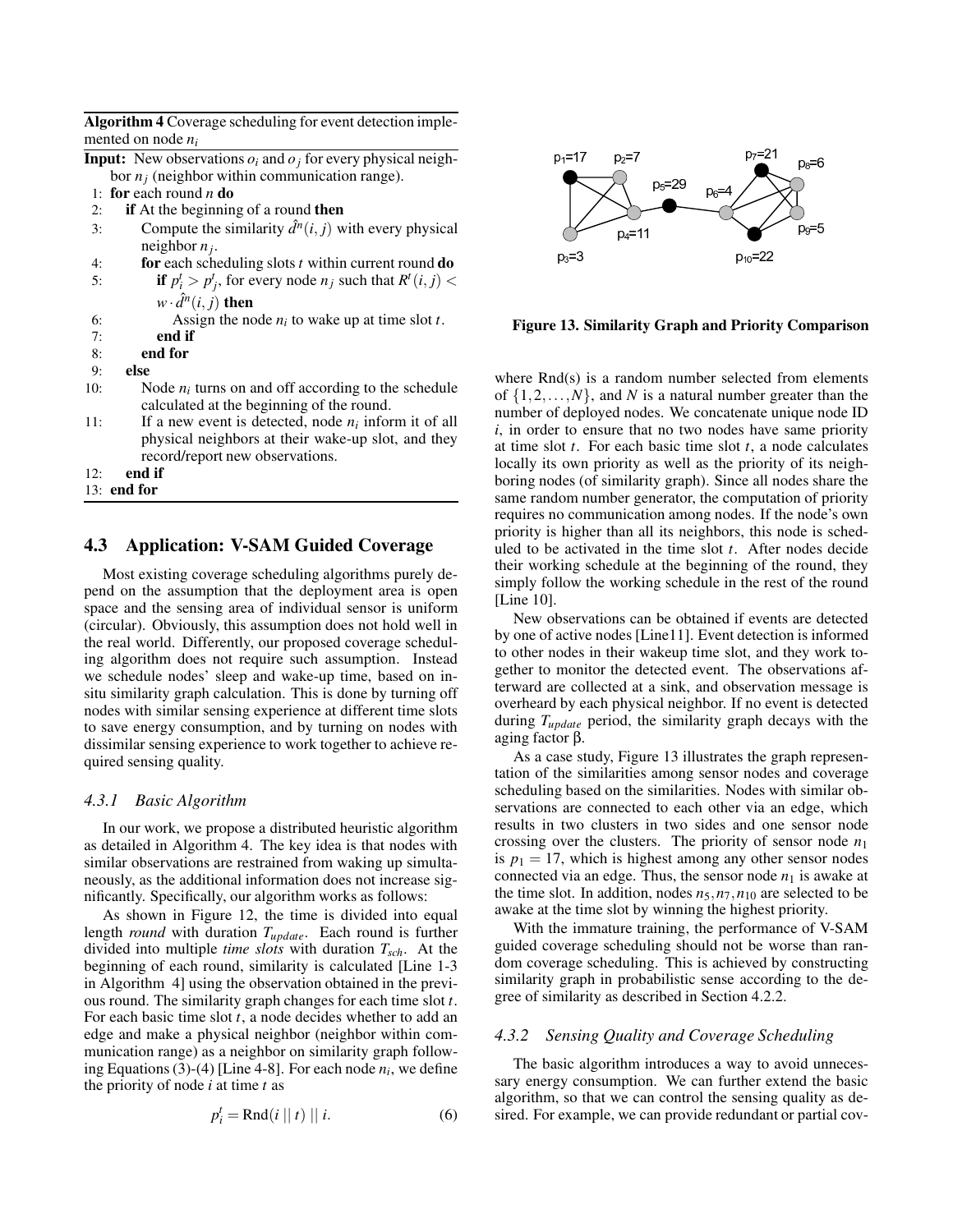| Algorithm 4 Coverage scheduling for event detection imple- |
|------------------------------------------------------------|
| mented on node $n_i$                                       |

|                                                  | <b>Input:</b> New observations $o_i$ and $o_j$ for every physical neigh- |  |  |  |  |  |  |
|--------------------------------------------------|--------------------------------------------------------------------------|--|--|--|--|--|--|
| bor $n_j$ (neighbor within communication range). |                                                                          |  |  |  |  |  |  |
|                                                  | 1: for each round $n \, \textbf{do}$                                     |  |  |  |  |  |  |
| 2:                                               | if At the beginning of a round then                                      |  |  |  |  |  |  |
| 3:                                               | Compute the similarity $\hat{d}^n(i, j)$ with every physical             |  |  |  |  |  |  |
|                                                  | neighbor $n_i$ .                                                         |  |  |  |  |  |  |
| 4:                                               | for each scheduling slots $t$ within current round $\bf{do}$             |  |  |  |  |  |  |

5: **if**  $p_i^t > p_j^t$ , for every node  $n_j$  such that  $R^t(i, j)$  <

|   | $w \cdot \hat{d}^n(i, j)$ then |
|---|--------------------------------|
| " | $\Lambda$ seign the no         |

6: Assign the node  $n_i$  to wake up at time slot *t*.

- 7: **end if**
- 8: **end for**
- 9: **else**
- 10: Node  $n_i$  turns on and off according to the schedule calculated at the beginning of the round.
- 11: If a new event is detected, node  $n_i$  inform it of all physical neighbors at their wake-up slot, and they record/report new observations.
- 12: **end if**
- 13: **end for**

# **4.3 Application: V-SAM Guided Coverage**

Most existing coverage scheduling algorithms purely depend on the assumption that the deployment area is open space and the sensing area of individual sensor is uniform (circular). Obviously, this assumption does not hold well in the real world. Differently, our proposed coverage scheduling algorithm does not require such assumption. Instead we schedule nodes' sleep and wake-up time, based on insitu similarity graph calculation. This is done by turning off nodes with similar sensing experience at different time slots to save energy consumption, and by turning on nodes with dissimilar sensing experience to work together to achieve required sensing quality.

#### *4.3.1 Basic Algorithm*

In our work, we propose a distributed heuristic algorithm as detailed in Algorithm 4. The key idea is that nodes with similar observations are restrained from waking up simultaneously, as the additional information does not increase significantly. Specifically, our algorithm works as follows:

As shown in Figure 12, the time is divided into equal length *round* with duration *Tupdate*. Each round is further divided into multiple *time slots* with duration *Tsch*. At the beginning of each round, similarity is calculated [Line 1-3 in Algorithm 4] using the observation obtained in the previous round. The similarity graph changes for each time slot *t*. For each basic time slot *t*, a node decides whether to add an edge and make a physical neighbor (neighbor within communication range) as a neighbor on similarity graph following Equations (3)-(4) [Line 4-8]. For each node *n<sup>i</sup>* , we define the priority of node *i* at time *t* as

$$
p_i^t = \text{Rnd}(i \mid t) \mid i. \tag{6}
$$



**Figure 13. Similarity Graph and Priority Comparison**

where Rnd(s) is a random number selected from elements of  $\{1,2,\ldots,N\}$ , and *N* is a natural number greater than the number of deployed nodes. We concatenate unique node ID *i*, in order to ensure that no two nodes have same priority at time slot *t*. For each basic time slot *t*, a node calculates locally its own priority as well as the priority of its neighboring nodes (of similarity graph). Since all nodes share the same random number generator, the computation of priority requires no communication among nodes. If the node's own priority is higher than all its neighbors, this node is scheduled to be activated in the time slot *t*. After nodes decide their working schedule at the beginning of the round, they simply follow the working schedule in the rest of the round [Line 10].

New observations can be obtained if events are detected by one of active nodes [Line11]. Event detection is informed to other nodes in their wakeup time slot, and they work together to monitor the detected event. The observations afterward are collected at a sink, and observation message is overheard by each physical neighbor. If no event is detected during *Tupdate* period, the similarity graph decays with the aging factor β.

As a case study, Figure 13 illustrates the graph representation of the similarities among sensor nodes and coverage scheduling based on the similarities. Nodes with similar observations are connected to each other via an edge, which results in two clusters in two sides and one sensor node crossing over the clusters. The priority of sensor node *n*<sup>1</sup> is  $p_1 = 17$ , which is highest among any other sensor nodes connected via an edge. Thus, the sensor node  $n_1$  is awake at the time slot. In addition, nodes  $n_5, n_7, n_{10}$  are selected to be awake at the time slot by winning the highest priority.

With the immature training, the performance of V-SAM guided coverage scheduling should not be worse than random coverage scheduling. This is achieved by constructing similarity graph in probabilistic sense according to the degree of similarity as described in Section 4.2.2.

# *4.3.2 Sensing Quality and Coverage Scheduling*

The basic algorithm introduces a way to avoid unnecessary energy consumption. We can further extend the basic algorithm, so that we can control the sensing quality as desired. For example, we can provide redundant or partial cov-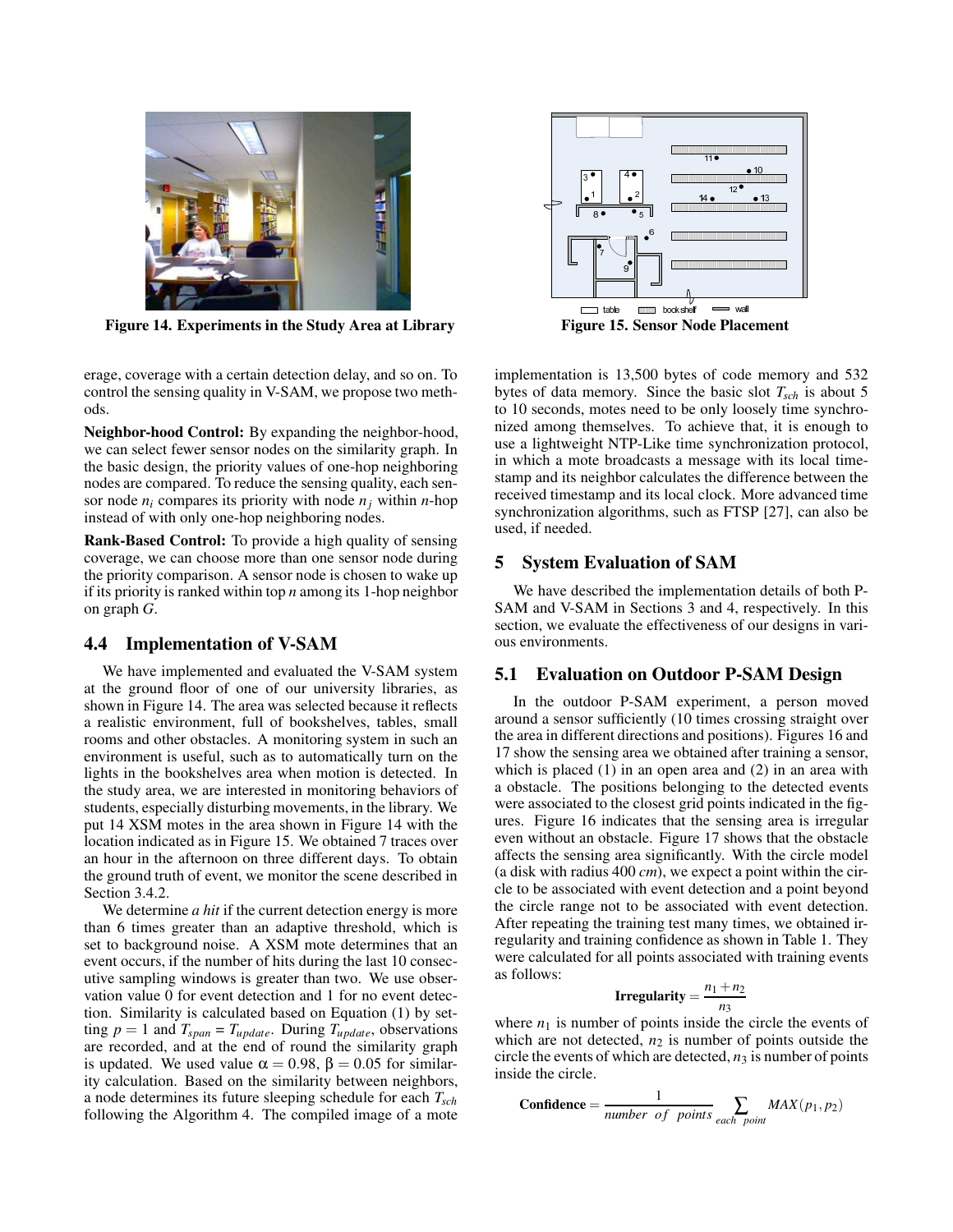

**Figure 14. Experiments in the Study Area at Library Figure 15. Sensor Node Placement**

erage, coverage with a certain detection delay, and so on. To control the sensing quality in V-SAM, we propose two methods.

**Neighbor-hood Control:** By expanding the neighbor-hood, we can select fewer sensor nodes on the similarity graph. In the basic design, the priority values of one-hop neighboring nodes are compared. To reduce the sensing quality, each sensor node  $n_i$  compares its priority with node  $n_i$  within *n*-hop instead of with only one-hop neighboring nodes.

**Rank-Based Control:** To provide a high quality of sensing coverage, we can choose more than one sensor node during the priority comparison. A sensor node is chosen to wake up if its priority is ranked within top *n* among its 1-hop neighbor on graph *G*.

# **4.4 Implementation of V-SAM**

We have implemented and evaluated the V-SAM system at the ground floor of one of our university libraries, as shown in Figure 14. The area was selected because it reflects a realistic environment, full of bookshelves, tables, small rooms and other obstacles. A monitoring system in such an environment is useful, such as to automatically turn on the lights in the bookshelves area when motion is detected. In the study area, we are interested in monitoring behaviors of students, especially disturbing movements, in the library. We put 14 XSM motes in the area shown in Figure 14 with the location indicated as in Figure 15. We obtained 7 traces over an hour in the afternoon on three different days. To obtain the ground truth of event, we monitor the scene described in Section 3.4.2.

We determine *a hit* if the current detection energy is more than 6 times greater than an adaptive threshold, which is set to background noise. A XSM mote determines that an event occurs, if the number of hits during the last 10 consecutive sampling windows is greater than two. We use observation value 0 for event detection and 1 for no event detection. Similarity is calculated based on Equation (1) by setting  $p = 1$  and  $T_{span} = T_{update}$ . During  $T_{update}$ , observations are recorded, and at the end of round the similarity graph is updated. We used value  $\alpha = 0.98$ ,  $\beta = 0.05$  for similarity calculation. Based on the similarity between neighbors, a node determines its future sleeping schedule for each *Tsch* following the Algorithm 4. The compiled image of a mote



implementation is 13,500 bytes of code memory and 532 bytes of data memory. Since the basic slot *Tsch* is about 5 to 10 seconds, motes need to be only loosely time synchronized among themselves. To achieve that, it is enough to use a lightweight NTP-Like time synchronization protocol, in which a mote broadcasts a message with its local timestamp and its neighbor calculates the difference between the received timestamp and its local clock. More advanced time synchronization algorithms, such as FTSP [27], can also be used, if needed.

# **5 System Evaluation of SAM**

We have described the implementation details of both P-SAM and V-SAM in Sections 3 and 4, respectively. In this section, we evaluate the effectiveness of our designs in various environments.

# **5.1 Evaluation on Outdoor P-SAM Design**

In the outdoor P-SAM experiment, a person moved around a sensor sufficiently (10 times crossing straight over the area in different directions and positions). Figures 16 and 17 show the sensing area we obtained after training a sensor, which is placed  $(1)$  in an open area and  $(2)$  in an area with a obstacle. The positions belonging to the detected events were associated to the closest grid points indicated in the figures. Figure 16 indicates that the sensing area is irregular even without an obstacle. Figure 17 shows that the obstacle affects the sensing area significantly. With the circle model (a disk with radius 400 *cm*), we expect a point within the circle to be associated with event detection and a point beyond the circle range not to be associated with event detection. After repeating the training test many times, we obtained irregularity and training confidence as shown in Table 1. They were calculated for all points associated with training events as follows:

$$
Irregularity = \frac{n_1 + n_2}{n_3}
$$

where  $n_1$  is number of points inside the circle the events of which are not detected,  $n_2$  is number of points outside the circle the events of which are detected,  $n_3$  is number of points inside the circle.

**Confidence** = 
$$
\frac{1}{number\ of\ points}\sum_{each\ point} MAX(p_1, p_2)
$$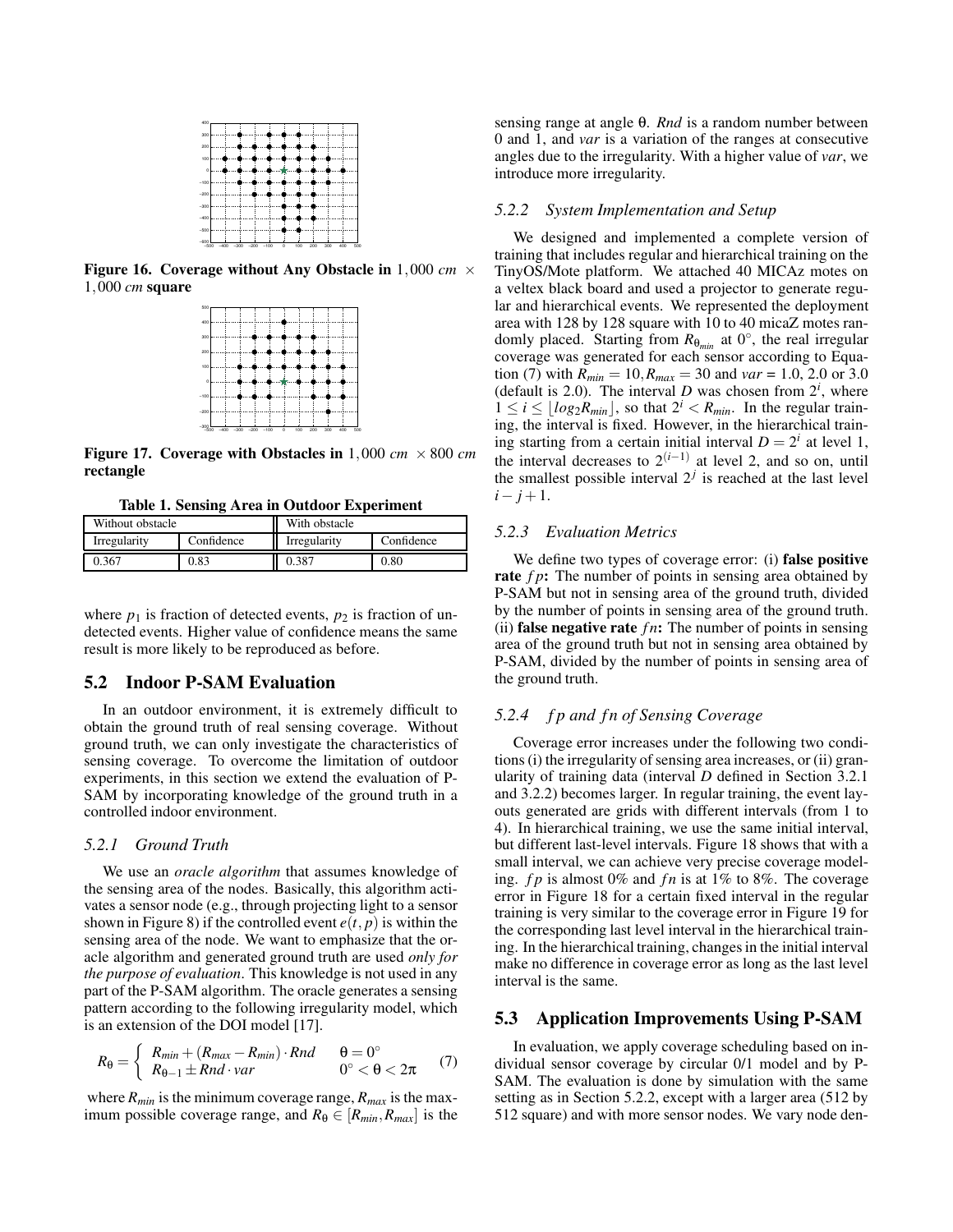

**Figure 16. Coverage without Any Obstacle in** 1,000 *cm* × 1,000 *cm* **square**

| $-300$  | $-400$ $-300$ $-200$ $-100$ |  |  | $\circ$ | 100 | 200 | 300 | 500<br>400 |
|---------|-----------------------------|--|--|---------|-----|-----|-----|------------|
| $-200$  |                             |  |  |         |     |     |     |            |
| $-100$  |                             |  |  |         |     |     |     |            |
| $\circ$ |                             |  |  |         |     |     |     |            |
| 100     |                             |  |  |         |     |     |     |            |
| 200     |                             |  |  |         |     |     |     |            |
| 300     |                             |  |  |         |     |     |     |            |
| 400     |                             |  |  |         |     |     |     |            |
|         |                             |  |  |         |     |     |     |            |

**Figure 17. Coverage with Obstacles in**  $1,000 \, \text{cm} \times 800 \, \text{cm}$ **rectangle**

**Table 1. Sensing Area in Outdoor Experiment**

| Without obstacle |            | With obstacle |            |  |  |
|------------------|------------|---------------|------------|--|--|
| Irregularity     | Confidence | Irregularity  | Confidence |  |  |
| 0.367            | 0.83       | 0.387         | 0.80       |  |  |

where  $p_1$  is fraction of detected events,  $p_2$  is fraction of undetected events. Higher value of confidence means the same result is more likely to be reproduced as before.

# **5.2 Indoor P-SAM Evaluation**

In an outdoor environment, it is extremely difficult to obtain the ground truth of real sensing coverage. Without ground truth, we can only investigate the characteristics of sensing coverage. To overcome the limitation of outdoor experiments, in this section we extend the evaluation of P-SAM by incorporating knowledge of the ground truth in a controlled indoor environment.

#### *5.2.1 Ground Truth*

We use an *oracle algorithm* that assumes knowledge of the sensing area of the nodes. Basically, this algorithm activates a sensor node (e.g., through projecting light to a sensor shown in Figure 8) if the controlled event  $e(t, p)$  is within the sensing area of the node. We want to emphasize that the oracle algorithm and generated ground truth are used *only for the purpose of evaluation*. This knowledge is not used in any part of the P-SAM algorithm. The oracle generates a sensing pattern according to the following irregularity model, which is an extension of the DOI model [17].

$$
R_{\theta} = \begin{cases} R_{min} + (R_{max} - R_{min}) \cdot Rnd & \theta = 0^{\circ} \\ R_{\theta - 1} \pm Rnd \cdot var & 0^{\circ} < \theta < 2\pi \end{cases} (7)
$$

where  $R_{min}$  is the minimum coverage range,  $R_{max}$  is the maximum possible coverage range, and  $R_{\theta} \in [R_{min}, R_{max}]$  is the sensing range at angle θ. *Rnd* is a random number between 0 and 1, and *var* is a variation of the ranges at consecutive angles due to the irregularity. With a higher value of *var*, we introduce more irregularity.

#### *5.2.2 System Implementation and Setup*

We designed and implemented a complete version of training that includes regular and hierarchical training on the TinyOS/Mote platform. We attached 40 MICAz motes on a veltex black board and used a projector to generate regular and hierarchical events. We represented the deployment area with 128 by 128 square with 10 to 40 micaZ motes randomly placed. Starting from *R*θ*min* at 0◦ , the real irregular coverage was generated for each sensor according to Equation (7) with  $R_{min} = 10, R_{max} = 30$  and  $var = 1.0, 2.0$  or 3.0 (default is 2.0). The interval *D* was chosen from  $2^i$ , where  $1 \leq i \leq \lfloor log_2 R_{min} \rfloor$ , so that  $2^i < R_{min}$ . In the regular training, the interval is fixed. However, in the hierarchical training starting from a certain initial interval  $D = 2^i$  at level 1, the interval decreases to  $2^{(i-1)}$  at level 2, and so on, until the smallest possible interval  $2<sup>j</sup>$  is reached at the last level *i*− *j* +1.

# *5.2.3 Evaluation Metrics*

We define two types of coverage error: (i) **false positive rate** *f p***:** The number of points in sensing area obtained by P-SAM but not in sensing area of the ground truth, divided by the number of points in sensing area of the ground truth. (ii) **false negative rate**  $fn$ : The number of points in sensing area of the ground truth but not in sensing area obtained by P-SAM, divided by the number of points in sensing area of the ground truth.

#### *5.2.4 f p and f n of Sensing Coverage*

Coverage error increases under the following two conditions (i) the irregularity of sensing area increases, or (ii) granularity of training data (interval *D* defined in Section 3.2.1 and 3.2.2) becomes larger. In regular training, the event layouts generated are grids with different intervals (from 1 to 4). In hierarchical training, we use the same initial interval, but different last-level intervals. Figure 18 shows that with a small interval, we can achieve very precise coverage modeling. *f p* is almost 0% and *f n* is at 1% to 8%. The coverage error in Figure 18 for a certain fixed interval in the regular training is very similar to the coverage error in Figure 19 for the corresponding last level interval in the hierarchical training. In the hierarchical training, changes in the initial interval make no difference in coverage error as long as the last level interval is the same.

# **5.3 Application Improvements Using P-SAM**

In evaluation, we apply coverage scheduling based on individual sensor coverage by circular 0/1 model and by P-SAM. The evaluation is done by simulation with the same setting as in Section 5.2.2, except with a larger area (512 by 512 square) and with more sensor nodes. We vary node den-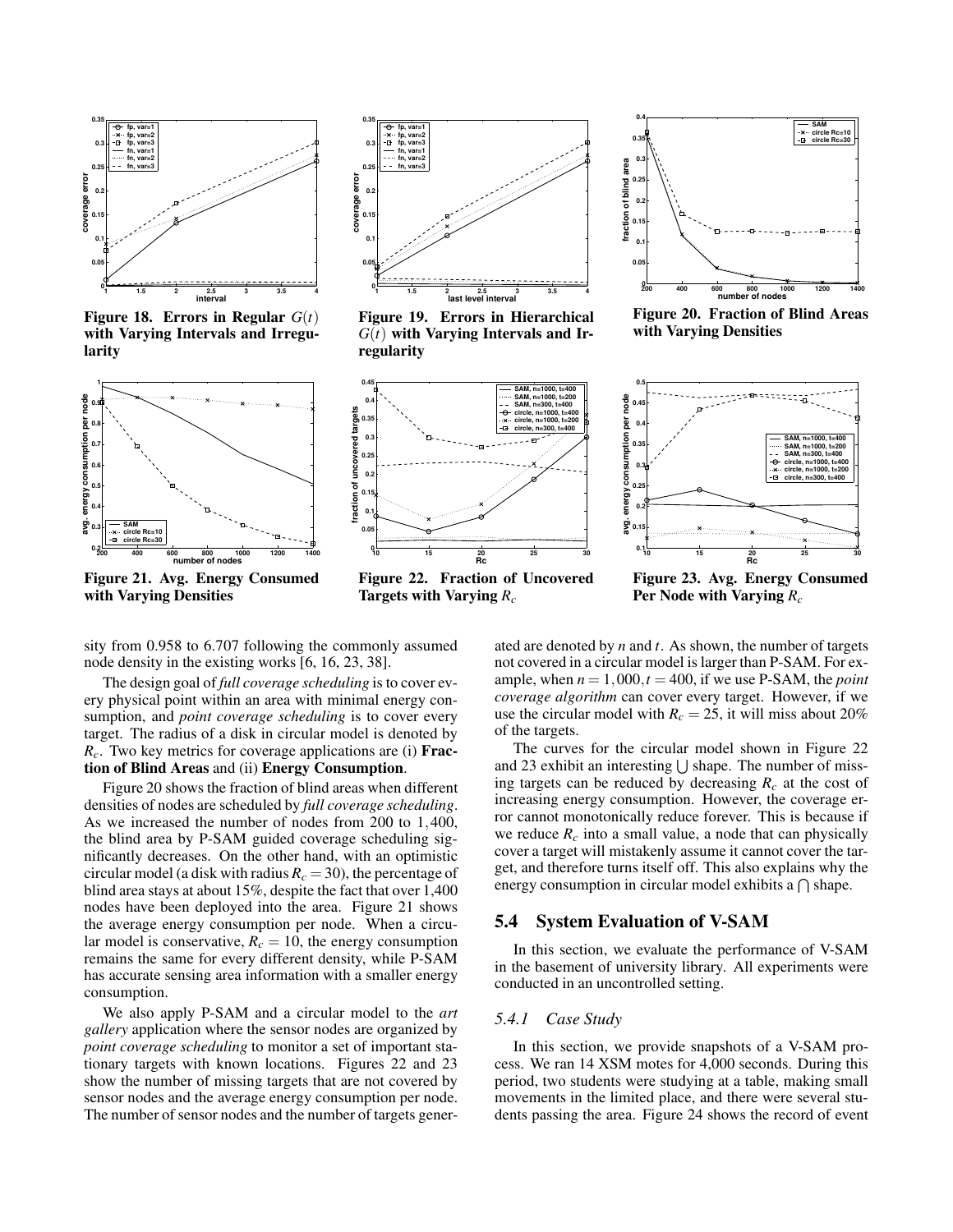

**Figure 18. Errors in Regular**  $G(t)$ **with Varying Intervals and Irregularity**



**Figure 21. Avg. Energy Consumed with Varying Densities**



**Figure 19. Errors in Hierarchical** *G*(*t*) **with Varying Intervals and Irregularity**



**Figure 22. Fraction of Uncovered Targets with Varying** *R<sup>c</sup>*



**Figure 20. Fraction of Blind Areas with Varying Densities**



**Figure 23. Avg. Energy Consumed Per Node with Varying** *R<sup>c</sup>*

sity from 0.958 to 6.707 following the commonly assumed node density in the existing works [6, 16, 23, 38].

The design goal of *full coverage scheduling* is to cover every physical point within an area with minimal energy consumption, and *point coverage scheduling* is to cover every target. The radius of a disk in circular model is denoted by *Rc*. Two key metrics for coverage applications are (i) **Fraction of Blind Areas** and (ii) **Energy Consumption**.

Figure 20 shows the fraction of blind areas when different densities of nodes are scheduled by *full coverage scheduling*. As we increased the number of nodes from 200 to 1,400, the blind area by P-SAM guided coverage scheduling significantly decreases. On the other hand, with an optimistic circular model (a disk with radius  $R_c = 30$ ), the percentage of blind area stays at about 15%, despite the fact that over 1,400 nodes have been deployed into the area. Figure 21 shows the average energy consumption per node. When a circular model is conservative,  $R_c = 10$ , the energy consumption remains the same for every different density, while P-SAM has accurate sensing area information with a smaller energy consumption.

We also apply P-SAM and a circular model to the *art gallery* application where the sensor nodes are organized by *point coverage scheduling* to monitor a set of important stationary targets with known locations. Figures 22 and 23 show the number of missing targets that are not covered by sensor nodes and the average energy consumption per node. The number of sensor nodes and the number of targets generated are denoted by *n* and *t*. As shown, the number of targets not covered in a circular model is larger than P-SAM. For example, when  $n = 1,000, t = 400$ , if we use P-SAM, the *point coverage algorithm* can cover every target. However, if we use the circular model with  $R_c = 25$ , it will miss about 20% of the targets.

The curves for the circular model shown in Figure 22 and 23 exhibit an interesting  $\bigcup$  shape. The number of missing targets can be reduced by decreasing  $R_c$  at the cost of increasing energy consumption. However, the coverage error cannot monotonically reduce forever. This is because if we reduce  $R_c$  into a small value, a node that can physically cover a target will mistakenly assume it cannot cover the target, and therefore turns itself off. This also explains why the energy consumption in circular model exhibits a  $\bigcap$  shape.

# **5.4 System Evaluation of V-SAM**

In this section, we evaluate the performance of V-SAM in the basement of university library. All experiments were conducted in an uncontrolled setting.

# *5.4.1 Case Study*

In this section, we provide snapshots of a V-SAM process. We ran 14 XSM motes for 4,000 seconds. During this period, two students were studying at a table, making small movements in the limited place, and there were several students passing the area. Figure 24 shows the record of event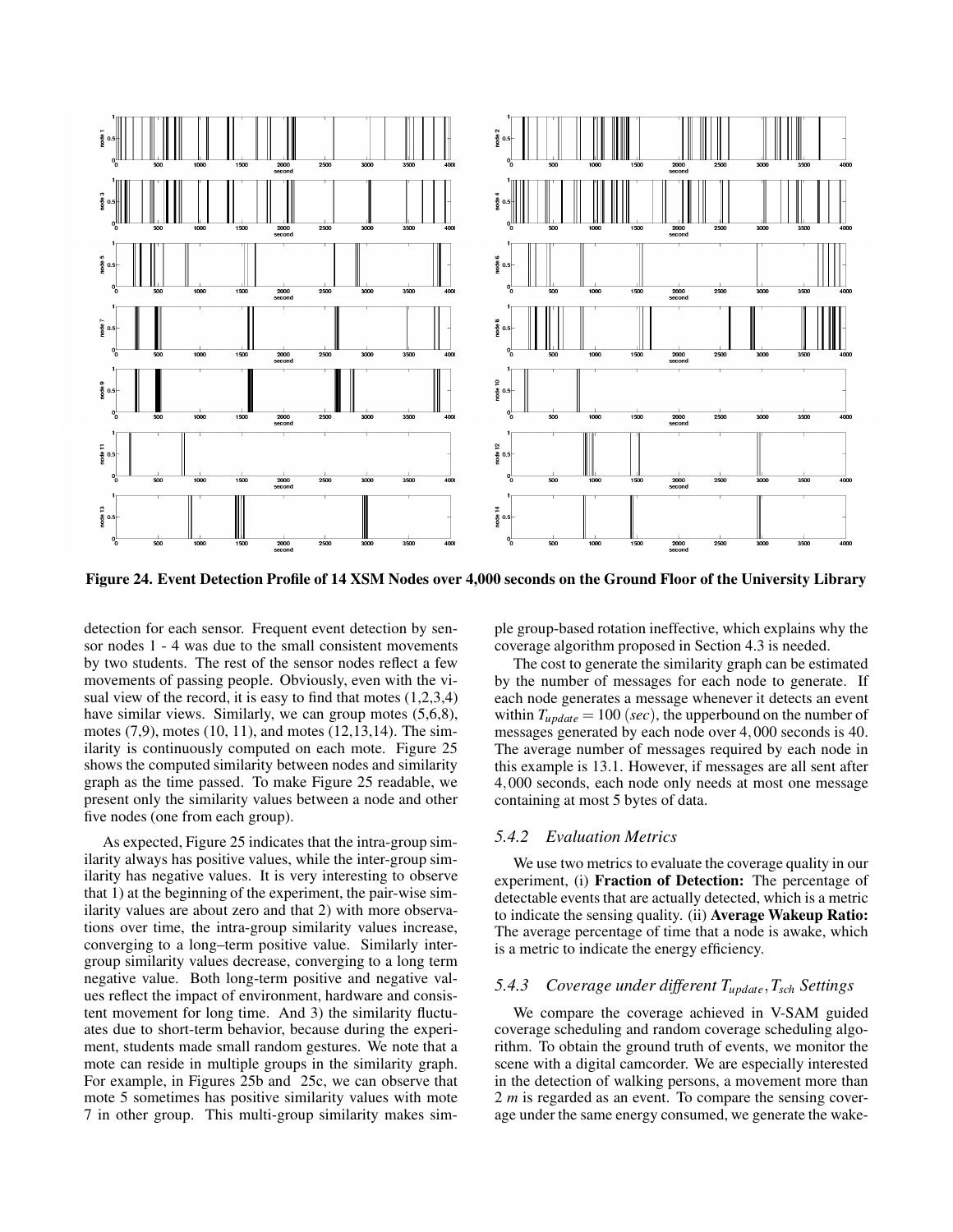

**Figure 24. Event Detection Profile of 14 XSM Nodes over 4,000 seconds on the Ground Floor of the University Library**

detection for each sensor. Frequent event detection by sensor nodes 1 - 4 was due to the small consistent movements by two students. The rest of the sensor nodes reflect a few movements of passing people. Obviously, even with the visual view of the record, it is easy to find that motes  $(1,2,3,4)$ have similar views. Similarly, we can group motes (5,6,8), motes (7,9), motes (10, 11), and motes (12,13,14). The similarity is continuously computed on each mote. Figure 25 shows the computed similarity between nodes and similarity graph as the time passed. To make Figure 25 readable, we present only the similarity values between a node and other five nodes (one from each group).

As expected, Figure 25 indicates that the intra-group similarity always has positive values, while the inter-group similarity has negative values. It is very interesting to observe that 1) at the beginning of the experiment, the pair-wise similarity values are about zero and that 2) with more observations over time, the intra-group similarity values increase, converging to a long–term positive value. Similarly intergroup similarity values decrease, converging to a long term negative value. Both long-term positive and negative values reflect the impact of environment, hardware and consistent movement for long time. And 3) the similarity fluctuates due to short-term behavior, because during the experiment, students made small random gestures. We note that a mote can reside in multiple groups in the similarity graph. For example, in Figures 25b and 25c, we can observe that mote 5 sometimes has positive similarity values with mote 7 in other group. This multi-group similarity makes simple group-based rotation ineffective, which explains why the coverage algorithm proposed in Section 4.3 is needed.

The cost to generate the similarity graph can be estimated by the number of messages for each node to generate. If each node generates a message whenever it detects an event within  $T_{update} = 100$  (*sec*), the upperbound on the number of messages generated by each node over 4,000 seconds is 40. The average number of messages required by each node in this example is 13.1. However, if messages are all sent after 4,000 seconds, each node only needs at most one message containing at most 5 bytes of data.

# *5.4.2 Evaluation Metrics*

We use two metrics to evaluate the coverage quality in our experiment, (i) **Fraction of Detection:** The percentage of detectable events that are actually detected, which is a metric to indicate the sensing quality. (ii) **Average Wakeup Ratio:** The average percentage of time that a node is awake, which is a metric to indicate the energy efficiency.

# *5.4.3 Coverage under different Tupdate*,*Tsch Settings*

We compare the coverage achieved in V-SAM guided coverage scheduling and random coverage scheduling algorithm. To obtain the ground truth of events, we monitor the scene with a digital camcorder. We are especially interested in the detection of walking persons, a movement more than 2 *m* is regarded as an event. To compare the sensing coverage under the same energy consumed, we generate the wake-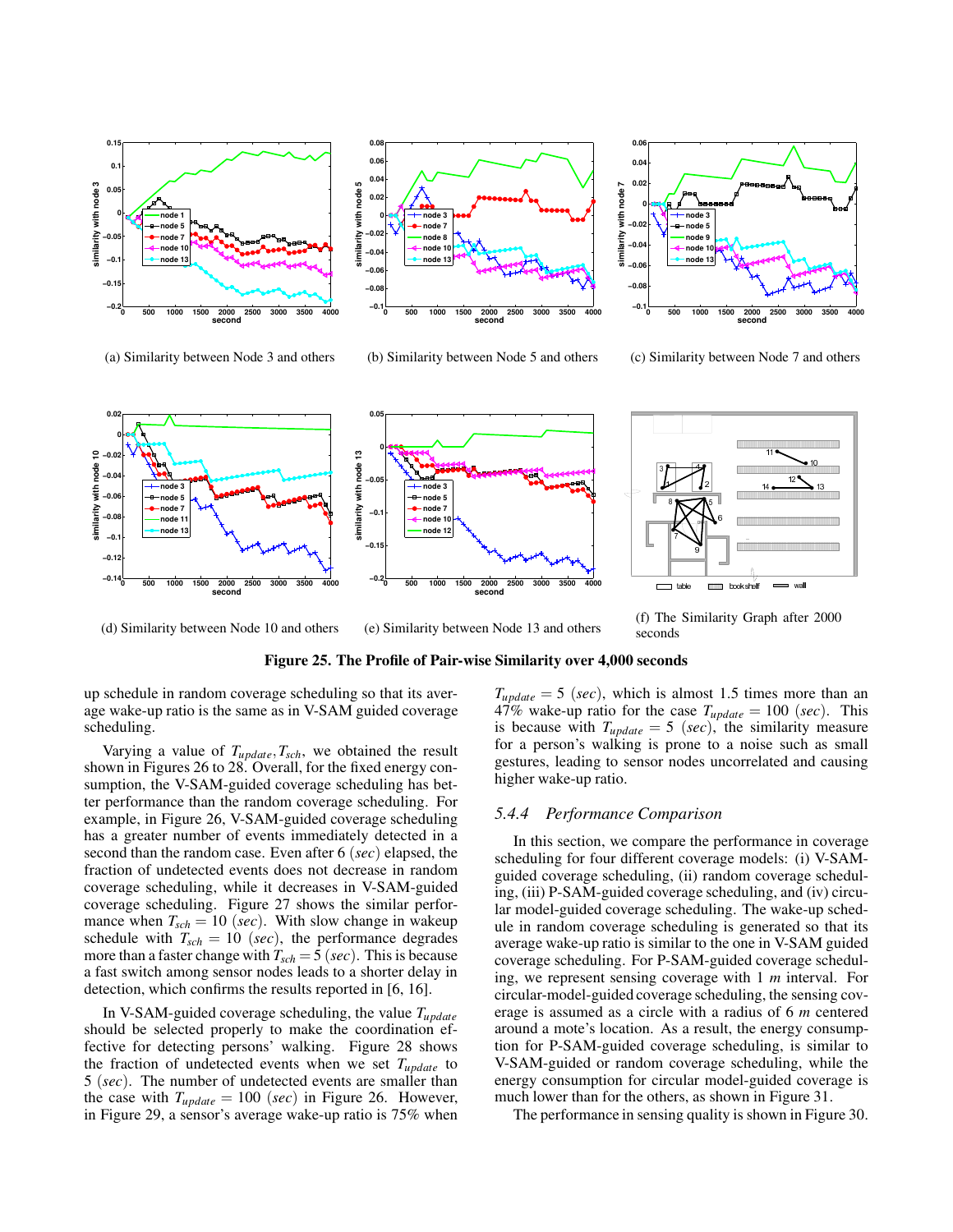

**0.08 0.06 0.04 similarity with node 5** with node! **0.02 0 node 3 node 7 hlarity −0.02 node 8 node 10 −0.04 node 13 −0.06 −0.08 −0.1 0 500 1000 1500 2000 2500 3000 3500 4000 second**

(a) Similarity between Node 3 and others (b) Similarity between Node 5 and others



(c) Similarity between Node 7 and others



(d) Similarity between Node 10 and others

(e) Similarity between Node 13 and others

(f) The Similarity Graph after 2000 seconds

#### **Figure 25. The Profile of Pair-wise Similarity over 4,000 seconds**

up schedule in random coverage scheduling so that its average wake-up ratio is the same as in V-SAM guided coverage scheduling.

Varying a value of  $T_{update}, T_{sch}$ , we obtained the result shown in Figures 26 to 28. Overall, for the fixed energy consumption, the V-SAM-guided coverage scheduling has better performance than the random coverage scheduling. For example, in Figure 26, V-SAM-guided coverage scheduling has a greater number of events immediately detected in a second than the random case. Even after 6 (*sec*) elapsed, the fraction of undetected events does not decrease in random coverage scheduling, while it decreases in V-SAM-guided coverage scheduling. Figure 27 shows the similar performance when  $T_{sch} = 10$  (*sec*). With slow change in wakeup schedule with  $T_{sch} = 10$  (*sec*), the performance degrades more than a faster change with *Tsch* = 5 (*sec*). This is because a fast switch among sensor nodes leads to a shorter delay in detection, which confirms the results reported in [6, 16].

In V-SAM-guided coverage scheduling, the value *Tupdate* should be selected properly to make the coordination effective for detecting persons' walking. Figure 28 shows the fraction of undetected events when we set *Tupdate* to 5 (*sec*). The number of undetected events are smaller than the case with  $T_{update} = 100$  (*sec*) in Figure 26. However, in Figure 29, a sensor's average wake-up ratio is 75% when

 $T_{update} = 5$  (*sec*), which is almost 1.5 times more than an 47% wake-up ratio for the case  $T_{update} = 100$  (*sec*). This is because with  $T_{update} = 5$  (*sec*), the similarity measure for a person's walking is prone to a noise such as small gestures, leading to sensor nodes uncorrelated and causing higher wake-up ratio.

#### *5.4.4 Performance Comparison*

In this section, we compare the performance in coverage scheduling for four different coverage models: (i) V-SAMguided coverage scheduling, (ii) random coverage scheduling, (iii) P-SAM-guided coverage scheduling, and (iv) circular model-guided coverage scheduling. The wake-up schedule in random coverage scheduling is generated so that its average wake-up ratio is similar to the one in V-SAM guided coverage scheduling. For P-SAM-guided coverage scheduling, we represent sensing coverage with 1 *m* interval. For circular-model-guided coverage scheduling, the sensing coverage is assumed as a circle with a radius of 6 *m* centered around a mote's location. As a result, the energy consumption for P-SAM-guided coverage scheduling, is similar to V-SAM-guided or random coverage scheduling, while the energy consumption for circular model-guided coverage is much lower than for the others, as shown in Figure 31.

The performance in sensing quality is shown in Figure 30.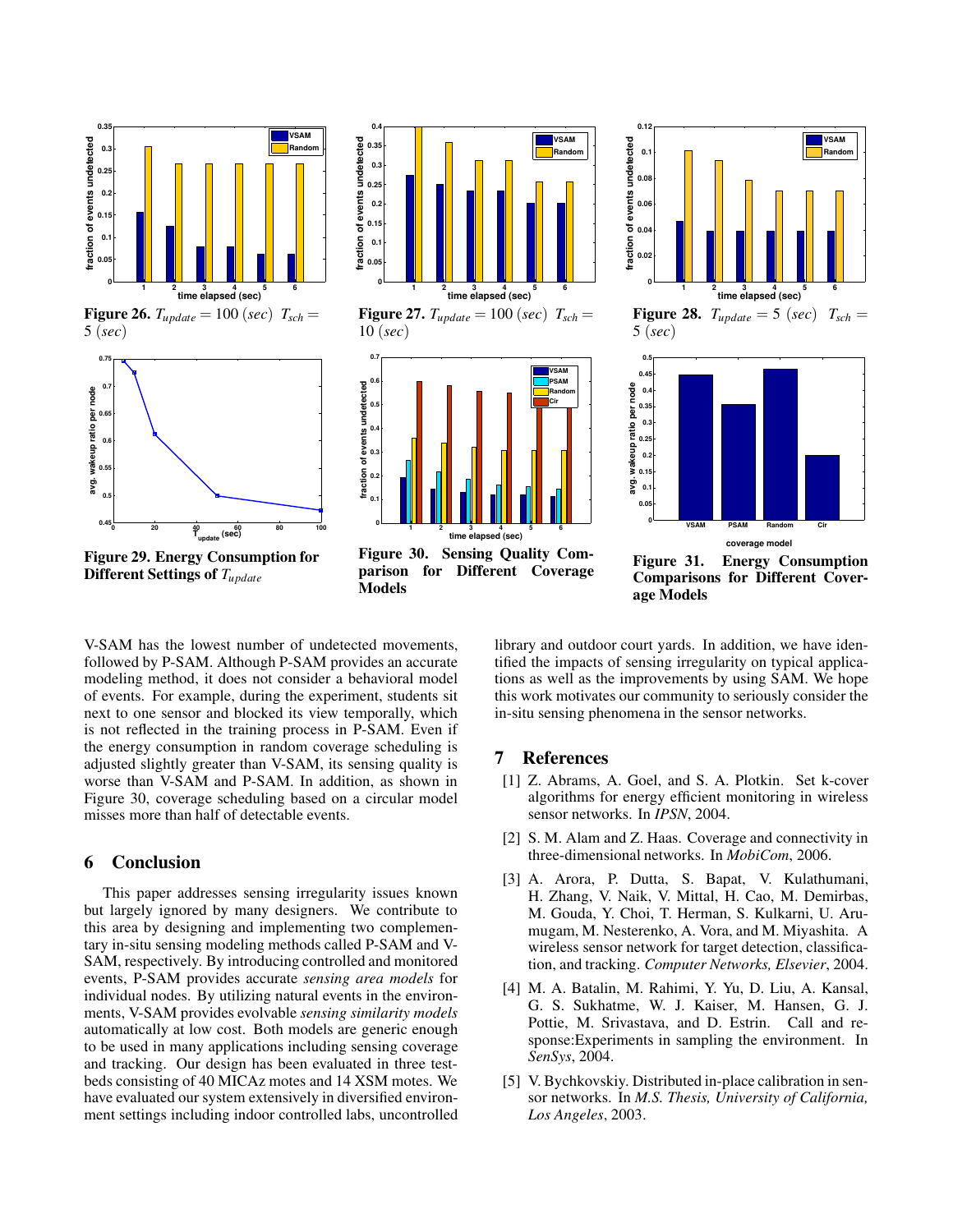

**Figure 29. Energy Consumption for Different Settings of** *Tupdate*



**Figure 27.**  $T_{update} = 100$  (*sec*)  $T_{sch} =$ 10 (*sec*)



**Figure 30. Sensing Quality Comparison for Different Coverage Models**





**Figure 31. Energy Consumption Comparisons for Different Coverage Models**

V-SAM has the lowest number of undetected movements, followed by P-SAM. Although P-SAM provides an accurate modeling method, it does not consider a behavioral model of events. For example, during the experiment, students sit next to one sensor and blocked its view temporally, which is not reflected in the training process in P-SAM. Even if the energy consumption in random coverage scheduling is adjusted slightly greater than V-SAM, its sensing quality is worse than V-SAM and P-SAM. In addition, as shown in Figure 30, coverage scheduling based on a circular model misses more than half of detectable events.

# **6 Conclusion**

This paper addresses sensing irregularity issues known but largely ignored by many designers. We contribute to this area by designing and implementing two complementary in-situ sensing modeling methods called P-SAM and V-SAM, respectively. By introducing controlled and monitored events, P-SAM provides accurate *sensing area models* for individual nodes. By utilizing natural events in the environments, V-SAM provides evolvable *sensing similarity models* automatically at low cost. Both models are generic enough to be used in many applications including sensing coverage and tracking. Our design has been evaluated in three testbeds consisting of 40 MICAz motes and 14 XSM motes. We have evaluated our system extensively in diversified environment settings including indoor controlled labs, uncontrolled

library and outdoor court yards. In addition, we have identified the impacts of sensing irregularity on typical applications as well as the improvements by using SAM. We hope this work motivates our community to seriously consider the in-situ sensing phenomena in the sensor networks.

# **7 References**

- [1] Z. Abrams, A. Goel, and S. A. Plotkin. Set k-cover algorithms for energy efficient monitoring in wireless sensor networks. In *IPSN*, 2004.
- [2] S. M. Alam and Z. Haas. Coverage and connectivity in three-dimensional networks. In *MobiCom*, 2006.
- [3] A. Arora, P. Dutta, S. Bapat, V. Kulathumani, H. Zhang, V. Naik, V. Mittal, H. Cao, M. Demirbas, M. Gouda, Y. Choi, T. Herman, S. Kulkarni, U. Arumugam, M. Nesterenko, A. Vora, and M. Miyashita. A wireless sensor network for target detection, classification, and tracking. *Computer Networks, Elsevier*, 2004.
- [4] M. A. Batalin, M. Rahimi, Y. Yu, D. Liu, A. Kansal, G. S. Sukhatme, W. J. Kaiser, M. Hansen, G. J. Pottie, M. Srivastava, and D. Estrin. Call and response:Experiments in sampling the environment. In *SenSys*, 2004.
- [5] V. Bychkovskiy. Distributed in-place calibration in sensor networks. In *M.S. Thesis, University of California, Los Angeles*, 2003.